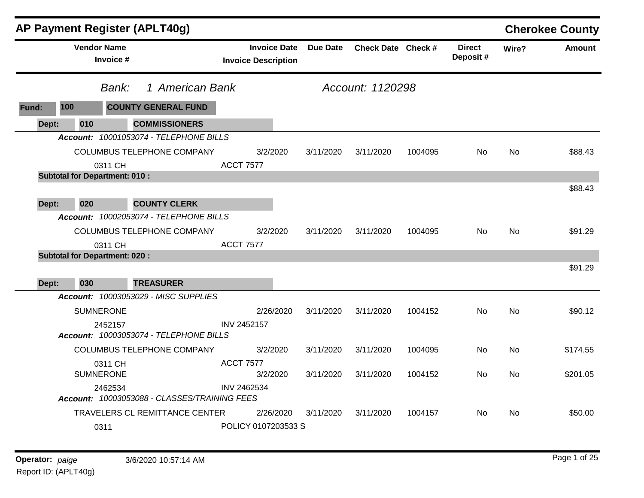|       |                                      |                                 | AP Payment Register (APLT40g)                |                    |                                                   |           |                    |         |                           |           | <b>Cherokee County</b> |
|-------|--------------------------------------|---------------------------------|----------------------------------------------|--------------------|---------------------------------------------------|-----------|--------------------|---------|---------------------------|-----------|------------------------|
|       |                                      | <b>Vendor Name</b><br>Invoice # |                                              |                    | <b>Invoice Date</b><br><b>Invoice Description</b> | Due Date  | Check Date Check # |         | <b>Direct</b><br>Deposit# | Wire?     | <b>Amount</b>          |
|       |                                      | Bank:                           | 1 American Bank                              |                    |                                                   |           | Account: 1120298   |         |                           |           |                        |
| Fund: | 100                                  |                                 | <b>COUNTY GENERAL FUND</b>                   |                    |                                                   |           |                    |         |                           |           |                        |
| Dept: | 010                                  |                                 | <b>COMMISSIONERS</b>                         |                    |                                                   |           |                    |         |                           |           |                        |
|       |                                      |                                 | Account: 10001053074 - TELEPHONE BILLS       |                    |                                                   |           |                    |         |                           |           |                        |
|       |                                      | 0311 CH                         | <b>COLUMBUS TELEPHONE COMPANY</b>            | <b>ACCT 7577</b>   | 3/2/2020                                          | 3/11/2020 | 3/11/2020          | 1004095 | No.                       | No        | \$88.43                |
|       | <b>Subtotal for Department: 010:</b> |                                 |                                              |                    |                                                   |           |                    |         |                           |           |                        |
|       |                                      |                                 |                                              |                    |                                                   |           |                    |         |                           |           | \$88.43                |
| Dept: | 020                                  |                                 | <b>COUNTY CLERK</b>                          |                    |                                                   |           |                    |         |                           |           |                        |
|       |                                      |                                 | Account: 10002053074 - TELEPHONE BILLS       |                    |                                                   |           |                    |         |                           |           |                        |
|       |                                      |                                 | COLUMBUS TELEPHONE COMPANY                   |                    | 3/2/2020                                          | 3/11/2020 | 3/11/2020          | 1004095 | No.                       | <b>No</b> | \$91.29                |
|       | <b>Subtotal for Department: 020:</b> | 0311 CH                         |                                              | <b>ACCT 7577</b>   |                                                   |           |                    |         |                           |           |                        |
|       |                                      |                                 |                                              |                    |                                                   |           |                    |         |                           |           | \$91.29                |
| Dept: | 030                                  |                                 | <b>TREASURER</b>                             |                    |                                                   |           |                    |         |                           |           |                        |
|       |                                      |                                 | <b>Account: 10003053029 - MISC SUPPLIES</b>  |                    |                                                   |           |                    |         |                           |           |                        |
|       |                                      | <b>SUMNERONE</b>                |                                              |                    | 2/26/2020                                         | 3/11/2020 | 3/11/2020          | 1004152 | No                        | <b>No</b> | \$90.12                |
|       |                                      | 2452157                         | Account: 10003053074 - TELEPHONE BILLS       | <b>INV 2452157</b> |                                                   |           |                    |         |                           |           |                        |
|       |                                      |                                 | COLUMBUS TELEPHONE COMPANY                   |                    | 3/2/2020                                          | 3/11/2020 | 3/11/2020          | 1004095 | No.                       | No.       | \$174.55               |
|       |                                      | 0311 CH<br><b>SUMNERONE</b>     |                                              | <b>ACCT 7577</b>   | 3/2/2020                                          | 3/11/2020 | 3/11/2020          | 1004152 | No.                       | <b>No</b> | \$201.05               |
|       |                                      | 2462534                         | Account: 10003053088 - CLASSES/TRAINING FEES | INV 2462534        |                                                   |           |                    |         |                           |           |                        |
|       |                                      |                                 | TRAVELERS CL REMITTANCE CENTER               |                    | 2/26/2020                                         | 3/11/2020 | 3/11/2020          | 1004157 | No                        | No        | \$50.00                |
|       |                                      | 0311                            |                                              |                    | POLICY 0107203533 S                               |           |                    |         |                           |           |                        |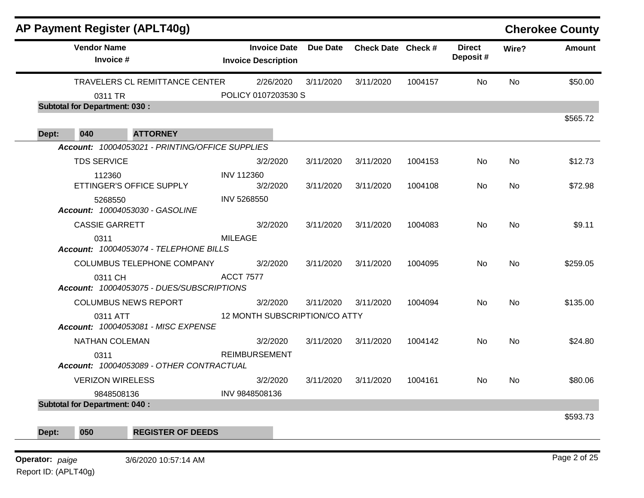|       |                                      | <b>AP Payment Register (APLT40g)</b>            |                                                   |                 |                    |         |                           |           | <b>Cherokee County</b> |
|-------|--------------------------------------|-------------------------------------------------|---------------------------------------------------|-----------------|--------------------|---------|---------------------------|-----------|------------------------|
|       | <b>Vendor Name</b><br>Invoice #      |                                                 | <b>Invoice Date</b><br><b>Invoice Description</b> | <b>Due Date</b> | Check Date Check # |         | <b>Direct</b><br>Deposit# | Wire?     | <b>Amount</b>          |
|       |                                      | TRAVELERS CL REMITTANCE CENTER                  | 2/26/2020                                         | 3/11/2020       | 3/11/2020          | 1004157 | No                        | No        | \$50.00                |
|       | 0311 TR                              |                                                 | POLICY 0107203530 S                               |                 |                    |         |                           |           |                        |
|       | <b>Subtotal for Department: 030:</b> |                                                 |                                                   |                 |                    |         |                           |           |                        |
| Dept: | 040                                  | <b>ATTORNEY</b>                                 |                                                   |                 |                    |         |                           |           | \$565.72               |
|       |                                      | Account: 10004053021 - PRINTING/OFFICE SUPPLIES |                                                   |                 |                    |         |                           |           |                        |
|       | <b>TDS SERVICE</b>                   |                                                 | 3/2/2020                                          | 3/11/2020       | 3/11/2020          | 1004153 | No                        | No.       | \$12.73                |
|       | 112360                               |                                                 | <b>INV 112360</b>                                 |                 |                    |         |                           |           |                        |
|       |                                      | ETTINGER'S OFFICE SUPPLY                        | 3/2/2020                                          | 3/11/2020       | 3/11/2020          | 1004108 | No                        | No        | \$72.98                |
|       | 5268550                              | Account: 10004053030 - GASOLINE                 | INV 5268550                                       |                 |                    |         |                           |           |                        |
|       | <b>CASSIE GARRETT</b>                |                                                 | 3/2/2020                                          | 3/11/2020       | 3/11/2020          | 1004083 | No                        | No        | \$9.11                 |
|       | 0311                                 | Account: 10004053074 - TELEPHONE BILLS          | <b>MILEAGE</b>                                    |                 |                    |         |                           |           |                        |
|       |                                      | COLUMBUS TELEPHONE COMPANY                      | 3/2/2020                                          | 3/11/2020       | 3/11/2020          | 1004095 | <b>No</b>                 | <b>No</b> | \$259.05               |
|       | 0311 CH                              | Account: 10004053075 - DUES/SUBSCRIPTIONS       | <b>ACCT 7577</b>                                  |                 |                    |         |                           |           |                        |
|       |                                      | <b>COLUMBUS NEWS REPORT</b>                     | 3/2/2020                                          | 3/11/2020       | 3/11/2020          | 1004094 | No.                       | No.       | \$135.00               |
|       | 0311 ATT                             | <b>Account: 10004053081 - MISC EXPENSE</b>      | 12 MONTH SUBSCRIPTION/CO ATTY                     |                 |                    |         |                           |           |                        |
|       | NATHAN COLEMAN                       |                                                 | 3/2/2020                                          | 3/11/2020       | 3/11/2020          | 1004142 | No                        | No        | \$24.80                |
|       | 0311                                 | Account: 10004053089 - OTHER CONTRACTUAL        | <b>REIMBURSEMENT</b>                              |                 |                    |         |                           |           |                        |
|       |                                      | <b>VERIZON WIRELESS</b>                         | 3/2/2020                                          | 3/11/2020       | 3/11/2020          | 1004161 | No.                       | No        | \$80.06                |
|       |                                      | 9848508136                                      | INV 9848508136                                    |                 |                    |         |                           |           |                        |
|       | <b>Subtotal for Department: 040:</b> |                                                 |                                                   |                 |                    |         |                           |           |                        |
|       |                                      |                                                 |                                                   |                 |                    |         |                           |           | \$593.73               |
| Dept: | 050                                  | <b>REGISTER OF DEEDS</b>                        |                                                   |                 |                    |         |                           |           |                        |

**Operator:** Page 2 of 25 *paige* 3/6/2020 10:57:14 AM Report ID: (APLT40g)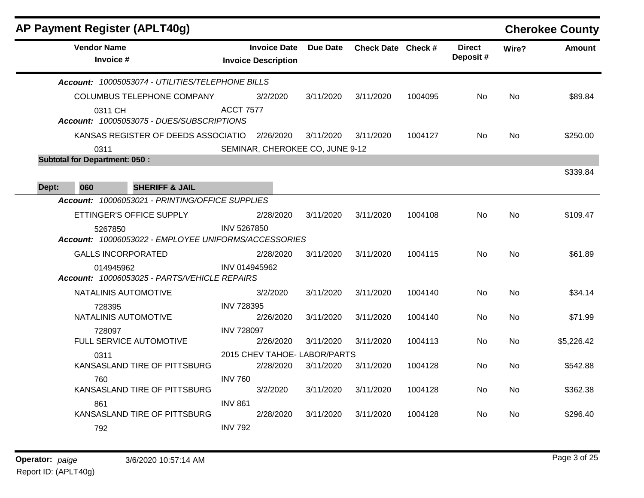| <b>AP Payment Register (APLT40g)</b>                            |                    |                                                   |                 |                    |         |                           |           | <b>Cherokee County</b> |
|-----------------------------------------------------------------|--------------------|---------------------------------------------------|-----------------|--------------------|---------|---------------------------|-----------|------------------------|
| <b>Vendor Name</b><br>Invoice #                                 |                    | <b>Invoice Date</b><br><b>Invoice Description</b> | <b>Due Date</b> | Check Date Check # |         | <b>Direct</b><br>Deposit# | Wire?     | <b>Amount</b>          |
| Account: 10005053074 - UTILITIES/TELEPHONE BILLS                |                    |                                                   |                 |                    |         |                           |           |                        |
| COLUMBUS TELEPHONE COMPANY                                      |                    | 3/2/2020                                          | 3/11/2020       | 3/11/2020          | 1004095 | No.                       | No.       | \$89.84                |
| 0311 CH<br>Account: 10005053075 - DUES/SUBSCRIPTIONS            | <b>ACCT 7577</b>   |                                                   |                 |                    |         |                           |           |                        |
| KANSAS REGISTER OF DEEDS ASSOCIATIO                             |                    | 2/26/2020                                         | 3/11/2020       | 3/11/2020          | 1004127 | No                        | <b>No</b> | \$250.00               |
| 0311                                                            |                    | SEMINAR, CHEROKEE CO, JUNE 9-12                   |                 |                    |         |                           |           |                        |
| <b>Subtotal for Department: 050:</b>                            |                    |                                                   |                 |                    |         |                           |           |                        |
|                                                                 |                    |                                                   |                 |                    |         |                           |           | \$339.84               |
| 060<br><b>SHERIFF &amp; JAIL</b><br>Dept:                       |                    |                                                   |                 |                    |         |                           |           |                        |
| Account: 10006053021 - PRINTING/OFFICE SUPPLIES                 |                    |                                                   |                 |                    |         |                           |           |                        |
| ETTINGER'S OFFICE SUPPLY                                        |                    | 2/28/2020                                         | 3/11/2020       | 3/11/2020          | 1004108 | <b>No</b>                 | No        | \$109.47               |
| 5267850<br>Account: 10006053022 - EMPLOYEE UNIFORMS/ACCESSORIES | <b>INV 5267850</b> |                                                   |                 |                    |         |                           |           |                        |
| <b>GALLS INCORPORATED</b>                                       |                    | 2/28/2020                                         | 3/11/2020       | 3/11/2020          | 1004115 | No.                       | <b>No</b> | \$61.89                |
| 014945962<br>Account: 10006053025 - PARTS/VEHICLE REPAIRS       |                    | INV 014945962                                     |                 |                    |         |                           |           |                        |
| NATALINIS AUTOMOTIVE                                            |                    | 3/2/2020                                          | 3/11/2020       | 3/11/2020          | 1004140 | No                        | <b>No</b> | \$34.14                |
| 728395                                                          | <b>INV 728395</b>  |                                                   |                 |                    |         |                           |           |                        |
| NATALINIS AUTOMOTIVE                                            |                    | 2/26/2020                                         | 3/11/2020       | 3/11/2020          | 1004140 | No.                       | No        | \$71.99                |
| 728097<br>FULL SERVICE AUTOMOTIVE                               | <b>INV 728097</b>  |                                                   |                 |                    |         |                           |           |                        |
|                                                                 |                    | 2/26/2020<br>2015 CHEV TAHOE- LABOR/PARTS         | 3/11/2020       | 3/11/2020          | 1004113 | No.                       | No        | \$5,226.42             |
| 0311<br>KANSASLAND TIRE OF PITTSBURG                            |                    | 2/28/2020                                         | 3/11/2020       | 3/11/2020          | 1004128 | No.                       | No        | \$542.88               |
| 760                                                             | <b>INV 760</b>     |                                                   |                 |                    |         |                           |           |                        |
| KANSASLAND TIRE OF PITTSBURG                                    |                    | 3/2/2020                                          | 3/11/2020       | 3/11/2020          | 1004128 | No.                       | No        | \$362.38               |
| 861                                                             | <b>INV 861</b>     |                                                   |                 |                    |         |                           |           |                        |
| KANSASLAND TIRE OF PITTSBURG                                    |                    | 2/28/2020                                         | 3/11/2020       | 3/11/2020          | 1004128 | No.                       | No.       | \$296.40               |
| 792                                                             | <b>INV 792</b>     |                                                   |                 |                    |         |                           |           |                        |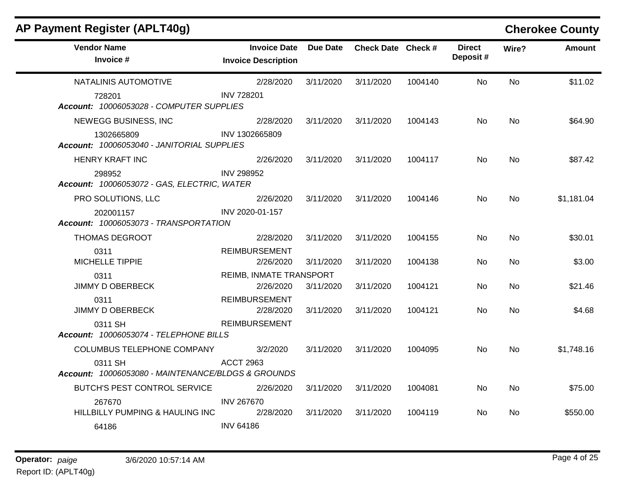| AP Payment Register (APLT40g)                                 |                                                   |                 |                    |         |                           |           | <b>Cherokee County</b> |
|---------------------------------------------------------------|---------------------------------------------------|-----------------|--------------------|---------|---------------------------|-----------|------------------------|
| <b>Vendor Name</b><br>Invoice #                               | <b>Invoice Date</b><br><b>Invoice Description</b> | <b>Due Date</b> | Check Date Check # |         | <b>Direct</b><br>Deposit# | Wire?     | Amount                 |
| NATALINIS AUTOMOTIVE                                          | 2/28/2020                                         | 3/11/2020       | 3/11/2020          | 1004140 | <b>No</b>                 | <b>No</b> | \$11.02                |
| 728201<br>Account: 10006053028 - COMPUTER SUPPLIES            | <b>INV 728201</b>                                 |                 |                    |         |                           |           |                        |
| NEWEGG BUSINESS, INC                                          | 2/28/2020                                         | 3/11/2020       | 3/11/2020          | 1004143 | No.                       | <b>No</b> | \$64.90                |
| 1302665809<br>Account: 10006053040 - JANITORIAL SUPPLIES      | INV 1302665809                                    |                 |                    |         |                           |           |                        |
| <b>HENRY KRAFT INC</b>                                        | 2/26/2020                                         | 3/11/2020       | 3/11/2020          | 1004117 | No.                       | No        | \$87.42                |
| 298952<br>Account: 10006053072 - GAS, ELECTRIC, WATER         | <b>INV 298952</b>                                 |                 |                    |         |                           |           |                        |
| PRO SOLUTIONS, LLC                                            | 2/26/2020                                         | 3/11/2020       | 3/11/2020          | 1004146 | No.                       | <b>No</b> | \$1,181.04             |
| 202001157<br>Account: 10006053073 - TRANSPORTATION            | INV 2020-01-157                                   |                 |                    |         |                           |           |                        |
| THOMAS DEGROOT                                                | 2/28/2020                                         | 3/11/2020       | 3/11/2020          | 1004155 | No.                       | No.       | \$30.01                |
| 0311<br>MICHELLE TIPPIE                                       | <b>REIMBURSEMENT</b><br>2/26/2020                 | 3/11/2020       | 3/11/2020          | 1004138 | No.                       | No.       | \$3.00                 |
| 0311                                                          | REIMB, INMATE TRANSPORT                           |                 |                    |         |                           |           |                        |
| <b>JIMMY D OBERBECK</b>                                       | 2/26/2020                                         | 3/11/2020       | 3/11/2020          | 1004121 | No.                       | <b>No</b> | \$21.46                |
| 0311<br>JIMMY D OBERBECK                                      | <b>REIMBURSEMENT</b><br>2/28/2020                 | 3/11/2020       | 3/11/2020          | 1004121 | No.                       | No.       | \$4.68                 |
| 0311 SH<br>Account: 10006053074 - TELEPHONE BILLS             | <b>REIMBURSEMENT</b>                              |                 |                    |         |                           |           |                        |
| COLUMBUS TELEPHONE COMPANY                                    | 3/2/2020                                          | 3/11/2020       | 3/11/2020          | 1004095 | No.                       | No.       | \$1,748.16             |
| 0311 SH<br>Account: 10006053080 - MAINTENANCE/BLDGS & GROUNDS | <b>ACCT 2963</b>                                  |                 |                    |         |                           |           |                        |
| BUTCH'S PEST CONTROL SERVICE                                  | 2/26/2020                                         | 3/11/2020       | 3/11/2020          | 1004081 | No.                       | No.       | \$75.00                |
| 267670<br>HILLBILLY PUMPING & HAULING INC                     | <b>INV 267670</b><br>2/28/2020                    | 3/11/2020       | 3/11/2020          | 1004119 | No.                       | No.       | \$550.00               |
| 64186                                                         | <b>INV 64186</b>                                  |                 |                    |         |                           |           |                        |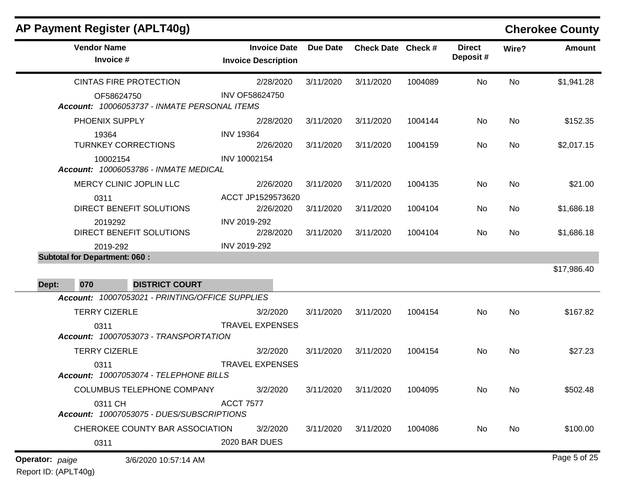|                        | AP Payment Register (APLT40g)                              |                                                   |                 |                    |         |                           |           | <b>Cherokee County</b> |
|------------------------|------------------------------------------------------------|---------------------------------------------------|-----------------|--------------------|---------|---------------------------|-----------|------------------------|
|                        | <b>Vendor Name</b><br>Invoice #                            | <b>Invoice Date</b><br><b>Invoice Description</b> | <b>Due Date</b> | Check Date Check # |         | <b>Direct</b><br>Deposit# | Wire?     | <b>Amount</b>          |
|                        | <b>CINTAS FIRE PROTECTION</b>                              | 2/28/2020                                         | 3/11/2020       | 3/11/2020          | 1004089 | No                        | No        | \$1,941.28             |
|                        | OF58624750<br>Account: 10006053737 - INMATE PERSONAL ITEMS | INV OF58624750                                    |                 |                    |         |                           |           |                        |
|                        | PHOENIX SUPPLY                                             | 2/28/2020                                         | 3/11/2020       | 3/11/2020          | 1004144 | No                        | <b>No</b> | \$152.35               |
|                        | 19364<br><b>TURNKEY CORRECTIONS</b>                        | <b>INV 19364</b><br>2/26/2020                     | 3/11/2020       | 3/11/2020          | 1004159 | No                        | <b>No</b> | \$2,017.15             |
|                        | 10002154<br><b>Account: 10006053786 - INMATE MEDICAL</b>   | INV 10002154                                      |                 |                    |         |                           |           |                        |
|                        | MERCY CLINIC JOPLIN LLC                                    | 2/26/2020                                         | 3/11/2020       | 3/11/2020          | 1004135 | No                        | <b>No</b> | \$21.00                |
|                        | 0311<br>DIRECT BENEFIT SOLUTIONS                           | ACCT JP1529573620<br>2/26/2020                    | 3/11/2020       | 3/11/2020          | 1004104 | No                        | <b>No</b> | \$1,686.18             |
|                        | 2019292<br>DIRECT BENEFIT SOLUTIONS                        | INV 2019-292<br>2/28/2020                         | 3/11/2020       | 3/11/2020          | 1004104 | No                        | <b>No</b> | \$1,686.18             |
|                        | 2019-292                                                   | INV 2019-292                                      |                 |                    |         |                           |           |                        |
|                        | <b>Subtotal for Department: 060:</b>                       |                                                   |                 |                    |         |                           |           | \$17,986.40            |
| Dept:                  | <b>DISTRICT COURT</b><br>070                               |                                                   |                 |                    |         |                           |           |                        |
|                        | Account: 10007053021 - PRINTING/OFFICE SUPPLIES            |                                                   |                 |                    |         |                           |           |                        |
|                        | <b>TERRY CIZERLE</b>                                       | 3/2/2020                                          | 3/11/2020       | 3/11/2020          | 1004154 | No                        | No        | \$167.82               |
|                        | 0311<br>Account: 10007053073 - TRANSPORTATION              | <b>TRAVEL EXPENSES</b>                            |                 |                    |         |                           |           |                        |
|                        | <b>TERRY CIZERLE</b>                                       | 3/2/2020                                          | 3/11/2020       | 3/11/2020          | 1004154 | No                        | No        | \$27.23                |
|                        | 0311<br>Account: 10007053074 - TELEPHONE BILLS             | <b>TRAVEL EXPENSES</b>                            |                 |                    |         |                           |           |                        |
|                        | COLUMBUS TELEPHONE COMPANY                                 | 3/2/2020                                          | 3/11/2020       | 3/11/2020          | 1004095 | No                        | <b>No</b> | \$502.48               |
|                        | 0311 CH<br>Account: 10007053075 - DUES/SUBSCRIPTIONS       | <b>ACCT 7577</b>                                  |                 |                    |         |                           |           |                        |
|                        | CHEROKEE COUNTY BAR ASSOCIATION                            | 3/2/2020                                          | 3/11/2020       | 3/11/2020          | 1004086 | No                        | No        | \$100.00               |
|                        | 0311                                                       | 2020 BAR DUES                                     |                 |                    |         |                           |           |                        |
| <b>Operator:</b> paige | 3/6/2020 10:57:14 AM                                       |                                                   |                 |                    |         |                           |           | Page 5 of 25           |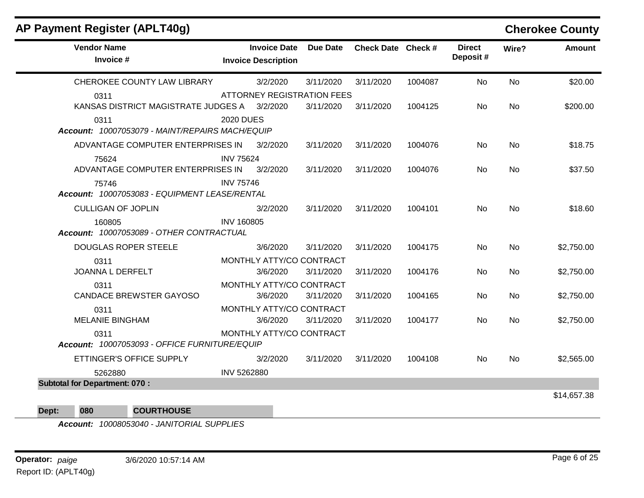| AP Payment Register (APLT40g)                           |                   |                                                   |                 |                    |         |                           |           | <b>Cherokee County</b> |
|---------------------------------------------------------|-------------------|---------------------------------------------------|-----------------|--------------------|---------|---------------------------|-----------|------------------------|
| <b>Vendor Name</b><br>Invoice #                         |                   | <b>Invoice Date</b><br><b>Invoice Description</b> | <b>Due Date</b> | Check Date Check # |         | <b>Direct</b><br>Deposit# | Wire?     | <b>Amount</b>          |
| CHEROKEE COUNTY LAW LIBRARY                             |                   | 3/2/2020                                          | 3/11/2020       | 3/11/2020          | 1004087 | <b>No</b>                 | <b>No</b> | \$20.00                |
| 0311                                                    |                   | <b>ATTORNEY REGISTRATION FEES</b>                 |                 |                    |         |                           |           |                        |
| KANSAS DISTRICT MAGISTRATE JUDGES A 3/2/2020            |                   |                                                   | 3/11/2020       | 3/11/2020          | 1004125 | <b>No</b>                 | <b>No</b> | \$200.00               |
| 0311<br>Account: 10007053079 - MAINT/REPAIRS MACH/EQUIP | <b>2020 DUES</b>  |                                                   |                 |                    |         |                           |           |                        |
| ADVANTAGE COMPUTER ENTERPRISES IN                       |                   | 3/2/2020                                          | 3/11/2020       | 3/11/2020          | 1004076 | No                        | <b>No</b> | \$18.75                |
| 75624<br>ADVANTAGE COMPUTER ENTERPRISES IN              | <b>INV 75624</b>  | 3/2/2020                                          | 3/11/2020       | 3/11/2020          | 1004076 | No                        | <b>No</b> | \$37.50                |
| 75746<br>Account: 10007053083 - EQUIPMENT LEASE/RENTAL  | <b>INV 75746</b>  |                                                   |                 |                    |         |                           |           |                        |
| <b>CULLIGAN OF JOPLIN</b>                               |                   | 3/2/2020                                          | 3/11/2020       | 3/11/2020          | 1004101 | No                        | No        | \$18.60                |
| 160805<br>Account: 10007053089 - OTHER CONTRACTUAL      | <b>INV 160805</b> |                                                   |                 |                    |         |                           |           |                        |
| <b>DOUGLAS ROPER STEELE</b>                             |                   | 3/6/2020                                          | 3/11/2020       | 3/11/2020          | 1004175 | No                        | <b>No</b> | \$2,750.00             |
| 0311                                                    |                   | MONTHLY ATTY/CO CONTRACT                          |                 |                    |         |                           |           |                        |
| <b>JOANNA L DERFELT</b>                                 |                   | 3/6/2020                                          | 3/11/2020       | 3/11/2020          | 1004176 | No                        | <b>No</b> | \$2,750.00             |
| 0311                                                    |                   | MONTHLY ATTY/CO CONTRACT                          |                 |                    |         |                           |           |                        |
| <b>CANDACE BREWSTER GAYOSO</b>                          |                   | 3/6/2020                                          | 3/11/2020       | 3/11/2020          | 1004165 | No                        | <b>No</b> | \$2,750.00             |
| 0311                                                    |                   | MONTHLY ATTY/CO CONTRACT                          |                 |                    |         |                           |           |                        |
| <b>MELANIE BINGHAM</b>                                  |                   | 3/6/2020                                          | 3/11/2020       | 3/11/2020          | 1004177 | No                        | <b>No</b> | \$2,750.00             |
| 0311<br>Account: 10007053093 - OFFICE FURNITURE/EQUIP   |                   | MONTHLY ATTY/CO CONTRACT                          |                 |                    |         |                           |           |                        |
| ETTINGER'S OFFICE SUPPLY                                |                   | 3/2/2020                                          | 3/11/2020       | 3/11/2020          | 1004108 | No                        | <b>No</b> | \$2,565.00             |
| 5262880                                                 | INV 5262880       |                                                   |                 |                    |         |                           |           |                        |

#### **Dept: 080 COURTHOUSE**

*Account: 10008053040 - JANITORIAL SUPPLIES*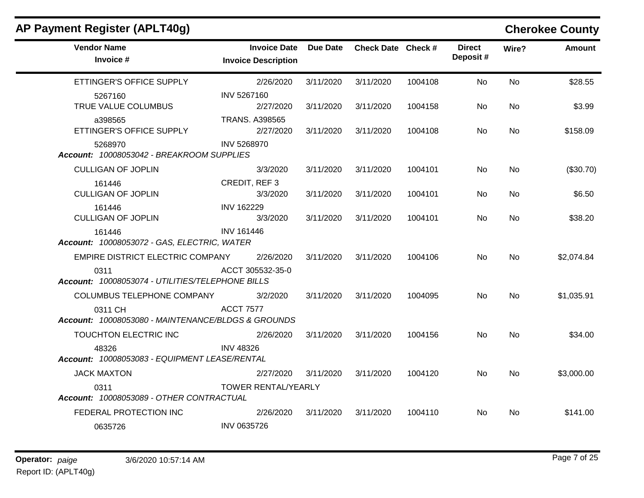| AP Payment Register (APLT40g)                                 |                                                   |           |                    |         |                           |           | <b>Cherokee County</b> |
|---------------------------------------------------------------|---------------------------------------------------|-----------|--------------------|---------|---------------------------|-----------|------------------------|
| <b>Vendor Name</b><br>Invoice #                               | <b>Invoice Date</b><br><b>Invoice Description</b> | Due Date  | Check Date Check # |         | <b>Direct</b><br>Deposit# | Wire?     | <b>Amount</b>          |
| ETTINGER'S OFFICE SUPPLY                                      | 2/26/2020                                         | 3/11/2020 | 3/11/2020          | 1004108 | No                        | <b>No</b> | \$28.55                |
| 5267160<br>TRUE VALUE COLUMBUS                                | INV 5267160<br>2/27/2020                          | 3/11/2020 | 3/11/2020          | 1004158 | No.                       | No.       | \$3.99                 |
| a398565<br>ETTINGER'S OFFICE SUPPLY                           | <b>TRANS. A398565</b><br>2/27/2020                | 3/11/2020 | 3/11/2020          | 1004108 | No.                       | No.       | \$158.09               |
| 5268970<br>Account: 10008053042 - BREAKROOM SUPPLIES          | INV 5268970                                       |           |                    |         |                           |           |                        |
| <b>CULLIGAN OF JOPLIN</b>                                     | 3/3/2020                                          | 3/11/2020 | 3/11/2020          | 1004101 | No.                       | No.       | (\$30.70)              |
| 161446<br><b>CULLIGAN OF JOPLIN</b>                           | CREDIT, REF 3<br>3/3/2020                         | 3/11/2020 | 3/11/2020          | 1004101 | No                        | No.       | \$6.50                 |
| 161446<br><b>CULLIGAN OF JOPLIN</b>                           | <b>INV 162229</b><br>3/3/2020                     | 3/11/2020 | 3/11/2020          | 1004101 | No.                       | No.       | \$38.20                |
| 161446<br>Account: 10008053072 - GAS, ELECTRIC, WATER         | <b>INV 161446</b>                                 |           |                    |         |                           |           |                        |
| EMPIRE DISTRICT ELECTRIC COMPANY                              | 2/26/2020                                         | 3/11/2020 | 3/11/2020          | 1004106 | No                        | No        | \$2,074.84             |
| 0311<br>Account: 10008053074 - UTILITIES/TELEPHONE BILLS      | ACCT 305532-35-0                                  |           |                    |         |                           |           |                        |
| COLUMBUS TELEPHONE COMPANY                                    | 3/2/2020                                          | 3/11/2020 | 3/11/2020          | 1004095 | No.                       | No.       | \$1,035.91             |
| 0311 CH<br>Account: 10008053080 - MAINTENANCE/BLDGS & GROUNDS | <b>ACCT 7577</b>                                  |           |                    |         |                           |           |                        |
| TOUCHTON ELECTRIC INC                                         | 2/26/2020                                         | 3/11/2020 | 3/11/2020          | 1004156 | No.                       | No        | \$34.00                |
| 48326<br>Account: 10008053083 - EQUIPMENT LEASE/RENTAL        | <b>INV 48326</b>                                  |           |                    |         |                           |           |                        |
| <b>JACK MAXTON</b>                                            | 2/27/2020                                         | 3/11/2020 | 3/11/2020          | 1004120 | No.                       | No.       | \$3,000.00             |
| 0311<br>Account: 10008053089 - OTHER CONTRACTUAL              | TOWER RENTAL/YEARLY                               |           |                    |         |                           |           |                        |
| FEDERAL PROTECTION INC                                        | 2/26/2020                                         | 3/11/2020 | 3/11/2020          | 1004110 | No                        | No.       | \$141.00               |
| 0635726                                                       | <b>INV 0635726</b>                                |           |                    |         |                           |           |                        |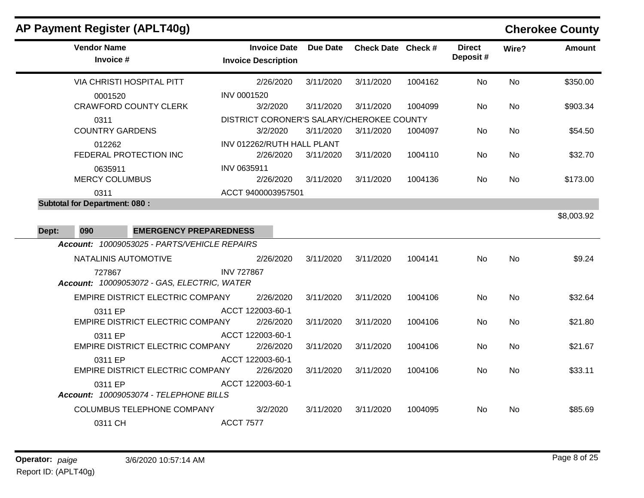| AP Payment Register (APLT40g)                                                                 |                                                   |           |                    |         |                           |           | <b>Cherokee County</b> |
|-----------------------------------------------------------------------------------------------|---------------------------------------------------|-----------|--------------------|---------|---------------------------|-----------|------------------------|
| <b>Vendor Name</b><br>Invoice #                                                               | <b>Invoice Date</b><br><b>Invoice Description</b> | Due Date  | Check Date Check # |         | <b>Direct</b><br>Deposit# | Wire?     | <b>Amount</b>          |
| <b>VIA CHRISTI HOSPITAL PITT</b>                                                              | 2/26/2020                                         | 3/11/2020 | 3/11/2020          | 1004162 | No                        | No        | \$350.00               |
| 0001520                                                                                       | INV 0001520                                       |           |                    |         |                           |           |                        |
| <b>CRAWFORD COUNTY CLERK</b>                                                                  | 3/2/2020                                          | 3/11/2020 | 3/11/2020          | 1004099 | No.                       | No        | \$903.34               |
| 0311                                                                                          | DISTRICT CORONER'S SALARY/CHEROKEE COUNTY         |           |                    |         |                           |           |                        |
| <b>COUNTRY GARDENS</b>                                                                        | 3/2/2020                                          | 3/11/2020 | 3/11/2020          | 1004097 | No.                       | No        | \$54.50                |
| 012262<br>FEDERAL PROTECTION INC                                                              | INV 012262/RUTH HALL PLANT<br>2/26/2020           | 3/11/2020 | 3/11/2020          | 1004110 | No.                       | No        | \$32.70                |
| 0635911                                                                                       | INV 0635911                                       |           |                    |         |                           |           |                        |
| <b>MERCY COLUMBUS</b>                                                                         | 2/26/2020                                         | 3/11/2020 | 3/11/2020          | 1004136 | No                        | No        | \$173.00               |
| 0311                                                                                          | ACCT 9400003957501                                |           |                    |         |                           |           |                        |
| <b>Subtotal for Department: 080:</b>                                                          |                                                   |           |                    |         |                           |           |                        |
| Dept:<br>090<br><b>EMERGENCY PREPAREDNESS</b><br>Account: 10009053025 - PARTS/VEHICLE REPAIRS |                                                   |           |                    |         |                           |           |                        |
| NATALINIS AUTOMOTIVE                                                                          | 2/26/2020                                         | 3/11/2020 | 3/11/2020          | 1004141 | No                        | No.       | \$9.24                 |
| 727867<br>Account: 10009053072 - GAS, ELECTRIC, WATER                                         | <b>INV 727867</b>                                 |           |                    |         |                           |           |                        |
| EMPIRE DISTRICT ELECTRIC COMPANY                                                              | 2/26/2020                                         | 3/11/2020 | 3/11/2020          | 1004106 | No                        | No        | \$32.64                |
| 0311 EP                                                                                       | ACCT 122003-60-1                                  |           |                    |         |                           |           |                        |
| <b>EMPIRE DISTRICT ELECTRIC COMPANY</b>                                                       | 2/26/2020                                         | 3/11/2020 | 3/11/2020          | 1004106 | No.                       | No        | \$21.80                |
| 0311 EP<br>EMPIRE DISTRICT ELECTRIC COMPANY                                                   | ACCT 122003-60-1<br>2/26/2020                     | 3/11/2020 | 3/11/2020          | 1004106 | No                        | No.       | \$21.67                |
| 0311 EP                                                                                       | ACCT 122003-60-1                                  |           |                    |         |                           |           |                        |
| <b>EMPIRE DISTRICT ELECTRIC COMPANY</b>                                                       | 2/26/2020                                         | 3/11/2020 | 3/11/2020          | 1004106 | <b>No</b>                 | <b>No</b> | \$33.11                |
| 0311 EP<br>Account: 10009053074 - TELEPHONE BILLS                                             | ACCT 122003-60-1                                  |           |                    |         |                           |           |                        |
| COLUMBUS TELEPHONE COMPANY                                                                    | 3/2/2020                                          | 3/11/2020 | 3/11/2020          | 1004095 | No.                       | No        | \$85.69                |
| 0311 CH                                                                                       | <b>ACCT 7577</b>                                  |           |                    |         |                           |           |                        |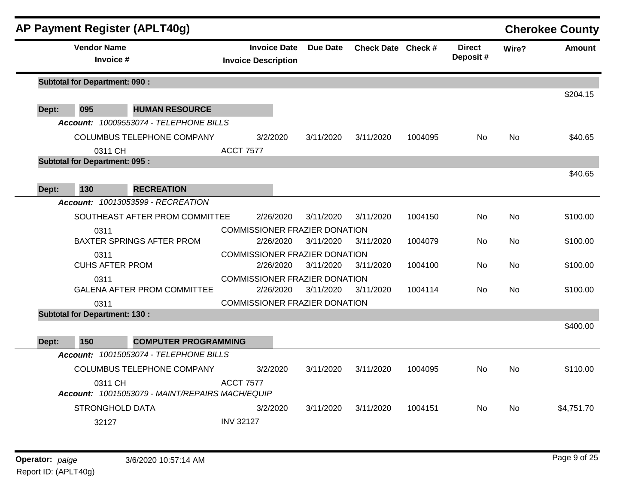|       |                                      | AP Payment Register (APLT40g)                   |                  |                                                   |                                      |                    |         |                           |           | <b>Cherokee County</b> |
|-------|--------------------------------------|-------------------------------------------------|------------------|---------------------------------------------------|--------------------------------------|--------------------|---------|---------------------------|-----------|------------------------|
|       | <b>Vendor Name</b><br>Invoice #      |                                                 |                  | <b>Invoice Date</b><br><b>Invoice Description</b> | <b>Due Date</b>                      | Check Date Check # |         | <b>Direct</b><br>Deposit# | Wire?     | <b>Amount</b>          |
|       | <b>Subtotal for Department: 090:</b> |                                                 |                  |                                                   |                                      |                    |         |                           |           |                        |
| Dept: | 095                                  | <b>HUMAN RESOURCE</b>                           |                  |                                                   |                                      |                    |         |                           |           | \$204.15               |
|       |                                      | Account: 10009553074 - TELEPHONE BILLS          |                  |                                                   |                                      |                    |         |                           |           |                        |
|       |                                      | COLUMBUS TELEPHONE COMPANY                      |                  | 3/2/2020                                          | 3/11/2020                            | 3/11/2020          | 1004095 | <b>No</b>                 | <b>No</b> | \$40.65                |
|       | 0311 CH                              |                                                 | <b>ACCT 7577</b> |                                                   |                                      |                    |         |                           |           |                        |
|       | <b>Subtotal for Department: 095:</b> |                                                 |                  |                                                   |                                      |                    |         |                           |           |                        |
|       |                                      |                                                 |                  |                                                   |                                      |                    |         |                           |           | \$40.65                |
| Dept: | 130                                  | <b>RECREATION</b>                               |                  |                                                   |                                      |                    |         |                           |           |                        |
|       |                                      | Account: 10013053599 - RECREATION               |                  |                                                   |                                      |                    |         |                           |           |                        |
|       |                                      | SOUTHEAST AFTER PROM COMMITTEE                  |                  | 2/26/2020                                         | 3/11/2020                            | 3/11/2020          | 1004150 | <b>No</b>                 | <b>No</b> | \$100.00               |
|       | 0311                                 |                                                 |                  |                                                   | <b>COMMISSIONER FRAZIER DONATION</b> |                    |         |                           |           |                        |
|       |                                      | <b>BAXTER SPRINGS AFTER PROM</b>                |                  | 2/26/2020                                         | 3/11/2020                            | 3/11/2020          | 1004079 | <b>No</b>                 | <b>No</b> | \$100.00               |
|       | 0311                                 |                                                 |                  |                                                   | <b>COMMISSIONER FRAZIER DONATION</b> |                    |         |                           |           |                        |
|       | <b>CUHS AFTER PROM</b>               |                                                 |                  | 2/26/2020                                         | 3/11/2020                            | 3/11/2020          | 1004100 | No                        | <b>No</b> | \$100.00               |
|       | 0311                                 |                                                 |                  |                                                   | <b>COMMISSIONER FRAZIER DONATION</b> |                    |         |                           |           |                        |
|       |                                      | <b>GALENA AFTER PROM COMMITTEE</b>              |                  | 2/26/2020                                         | 3/11/2020                            | 3/11/2020          | 1004114 | No                        | <b>No</b> | \$100.00               |
|       | 0311                                 |                                                 |                  |                                                   | <b>COMMISSIONER FRAZIER DONATION</b> |                    |         |                           |           |                        |
|       | <b>Subtotal for Department: 130:</b> |                                                 |                  |                                                   |                                      |                    |         |                           |           |                        |
|       |                                      |                                                 |                  |                                                   |                                      |                    |         |                           |           | \$400.00               |
| Dept: | 150                                  | <b>COMPUTER PROGRAMMING</b>                     |                  |                                                   |                                      |                    |         |                           |           |                        |
|       |                                      | Account: 10015053074 - TELEPHONE BILLS          |                  |                                                   |                                      |                    |         |                           |           |                        |
|       |                                      | COLUMBUS TELEPHONE COMPANY                      |                  | 3/2/2020                                          | 3/11/2020                            | 3/11/2020          | 1004095 | N <sub>o</sub>            | <b>No</b> | \$110.00               |
|       | 0311 CH                              | Account: 10015053079 - MAINT/REPAIRS MACH/EQUIP | <b>ACCT 7577</b> |                                                   |                                      |                    |         |                           |           |                        |
|       | STRONGHOLD DATA                      |                                                 |                  | 3/2/2020                                          | 3/11/2020                            | 3/11/2020          | 1004151 | <b>No</b>                 | <b>No</b> | \$4,751.70             |
|       | 32127                                |                                                 | <b>INV 32127</b> |                                                   |                                      |                    |         |                           |           |                        |
|       |                                      |                                                 |                  |                                                   |                                      |                    |         |                           |           |                        |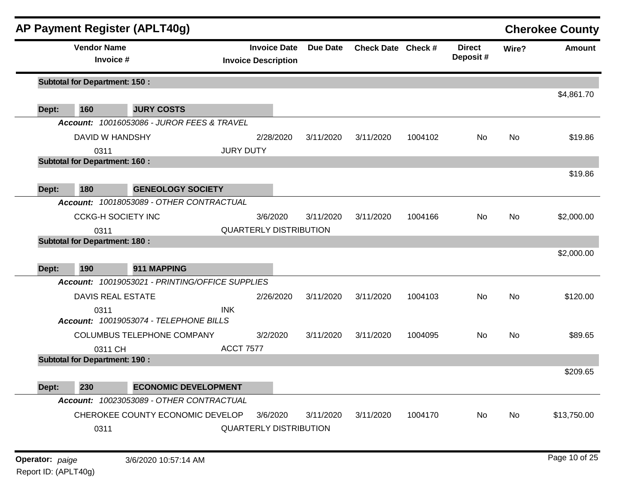|       | <b>Vendor Name</b>                   | AP Payment Register (APLT40g)                   |                  | <b>Invoice Date</b>           | <b>Due Date</b> | Check Date Check # |         | <b>Direct</b> | Wire? | <b>Cherokee County</b><br><b>Amount</b> |
|-------|--------------------------------------|-------------------------------------------------|------------------|-------------------------------|-----------------|--------------------|---------|---------------|-------|-----------------------------------------|
|       | Invoice #                            |                                                 |                  | <b>Invoice Description</b>    |                 |                    |         | Deposit#      |       |                                         |
|       | <b>Subtotal for Department: 150:</b> |                                                 |                  |                               |                 |                    |         |               |       |                                         |
| Dept: | 160                                  | <b>JURY COSTS</b>                               |                  |                               |                 |                    |         |               |       | \$4,861.70                              |
|       |                                      | Account: 10016053086 - JUROR FEES & TRAVEL      |                  |                               |                 |                    |         |               |       |                                         |
|       | DAVID W HANDSHY                      |                                                 |                  | 2/28/2020                     | 3/11/2020       | 3/11/2020          | 1004102 | No            | No    | \$19.86                                 |
|       | 0311                                 |                                                 | <b>JURY DUTY</b> |                               |                 |                    |         |               |       |                                         |
|       | <b>Subtotal for Department: 160:</b> |                                                 |                  |                               |                 |                    |         |               |       |                                         |
|       |                                      |                                                 |                  |                               |                 |                    |         |               |       | \$19.86                                 |
| Dept: | 180                                  | <b>GENEOLOGY SOCIETY</b>                        |                  |                               |                 |                    |         |               |       |                                         |
|       |                                      | Account: 10018053089 - OTHER CONTRACTUAL        |                  |                               |                 |                    |         |               |       |                                         |
|       | <b>CCKG-H SOCIETY INC</b>            |                                                 |                  | 3/6/2020                      | 3/11/2020       | 3/11/2020          | 1004166 | No            | No    | \$2,000.00                              |
|       | 0311                                 |                                                 |                  | <b>QUARTERLY DISTRIBUTION</b> |                 |                    |         |               |       |                                         |
|       | <b>Subtotal for Department: 180:</b> |                                                 |                  |                               |                 |                    |         |               |       |                                         |
|       |                                      |                                                 |                  |                               |                 |                    |         |               |       | \$2,000.00                              |
| Dept: | 190                                  | 911 MAPPING                                     |                  |                               |                 |                    |         |               |       |                                         |
|       |                                      | Account: 10019053021 - PRINTING/OFFICE SUPPLIES |                  |                               |                 |                    |         |               |       |                                         |
|       | <b>DAVIS REAL ESTATE</b>             |                                                 |                  | 2/26/2020                     | 3/11/2020       | 3/11/2020          | 1004103 | <b>No</b>     | No    | \$120.00                                |
|       | 0311                                 | Account: 10019053074 - TELEPHONE BILLS          | <b>INK</b>       |                               |                 |                    |         |               |       |                                         |
|       |                                      |                                                 |                  |                               |                 |                    |         |               |       |                                         |
|       | 0311 CH                              | COLUMBUS TELEPHONE COMPANY                      | <b>ACCT 7577</b> | 3/2/2020                      | 3/11/2020       | 3/11/2020          | 1004095 | <b>No</b>     | No    | \$89.65                                 |
|       | <b>Subtotal for Department: 190:</b> |                                                 |                  |                               |                 |                    |         |               |       |                                         |
|       |                                      |                                                 |                  |                               |                 |                    |         |               |       | \$209.65                                |
|       |                                      | Dept: 230 ECONOMIC DEVELOPMENT                  |                  |                               |                 |                    |         |               |       |                                         |
|       |                                      | Account: 10023053089 - OTHER CONTRACTUAL        |                  |                               |                 |                    |         |               |       |                                         |
|       |                                      | CHEROKEE COUNTY ECONOMIC DEVELOP                |                  | 3/6/2020                      | 3/11/2020       | 3/11/2020          | 1004170 | No            | No    | \$13,750.00                             |
|       | 0311                                 |                                                 |                  | <b>QUARTERLY DISTRIBUTION</b> |                 |                    |         |               |       |                                         |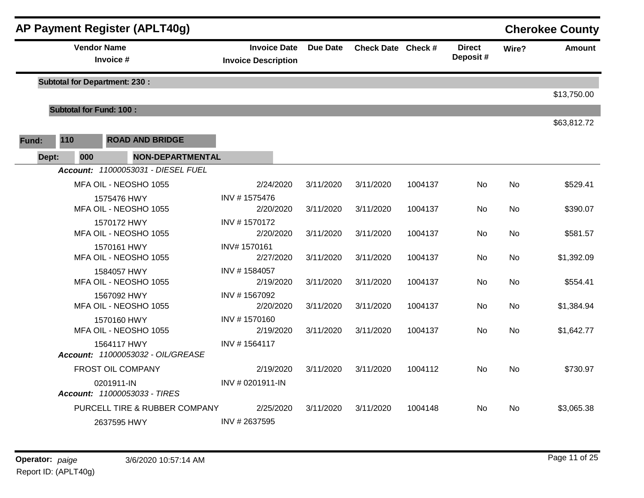| <b>AP Payment Register (APLT40g)</b> |                                      |     |                                            |                                                   |                 |                    |         |                           | <b>Cherokee County</b> |               |  |
|--------------------------------------|--------------------------------------|-----|--------------------------------------------|---------------------------------------------------|-----------------|--------------------|---------|---------------------------|------------------------|---------------|--|
|                                      | <b>Vendor Name</b><br>Invoice #      |     |                                            | <b>Invoice Date</b><br><b>Invoice Description</b> | <b>Due Date</b> | Check Date Check # |         | <b>Direct</b><br>Deposit# | Wire?                  | <b>Amount</b> |  |
|                                      | <b>Subtotal for Department: 230:</b> |     |                                            |                                                   |                 |                    |         |                           |                        |               |  |
|                                      |                                      |     |                                            |                                                   |                 |                    |         |                           |                        | \$13,750.00   |  |
|                                      |                                      |     | <b>Subtotal for Fund: 100:</b>             |                                                   |                 |                    |         |                           |                        | \$63,812.72   |  |
| Fund:                                | 110                                  |     | <b>ROAD AND BRIDGE</b>                     |                                                   |                 |                    |         |                           |                        |               |  |
|                                      | Dept:                                | 000 | <b>NON-DEPARTMENTAL</b>                    |                                                   |                 |                    |         |                           |                        |               |  |
|                                      |                                      |     | Account: 11000053031 - DIESEL FUEL         |                                                   |                 |                    |         |                           |                        |               |  |
|                                      |                                      |     | MFA OIL - NEOSHO 1055                      | 2/24/2020                                         | 3/11/2020       | 3/11/2020          | 1004137 | No.                       | No                     | \$529.41      |  |
|                                      |                                      |     | 1575476 HWY                                | INV #1575476                                      |                 |                    |         |                           |                        |               |  |
|                                      |                                      |     | MFA OIL - NEOSHO 1055                      | 2/20/2020                                         | 3/11/2020       | 3/11/2020          | 1004137 | <b>No</b>                 | <b>No</b>              | \$390.07      |  |
|                                      |                                      |     | 1570172 HWY<br>MFA OIL - NEOSHO 1055       | INV #1570172<br>2/20/2020                         | 3/11/2020       | 3/11/2020          | 1004137 | <b>No</b>                 | <b>No</b>              | \$581.57      |  |
|                                      |                                      |     | 1570161 HWY                                | INV# 1570161                                      |                 |                    |         |                           |                        |               |  |
|                                      |                                      |     | MFA OIL - NEOSHO 1055                      | 2/27/2020                                         | 3/11/2020       | 3/11/2020          | 1004137 | No.                       | No                     | \$1,392.09    |  |
|                                      |                                      |     | 1584057 HWY                                | INV #1584057                                      |                 |                    |         |                           |                        |               |  |
|                                      |                                      |     | MFA OIL - NEOSHO 1055                      | 2/19/2020                                         | 3/11/2020       | 3/11/2020          | 1004137 | No                        | No                     | \$554.41      |  |
|                                      |                                      |     | 1567092 HWY                                | INV #1567092                                      |                 |                    |         |                           |                        |               |  |
|                                      |                                      |     | MFA OIL - NEOSHO 1055                      | 2/20/2020                                         | 3/11/2020       | 3/11/2020          | 1004137 | No                        | <b>No</b>              | \$1,384.94    |  |
|                                      |                                      |     | 1570160 HWY<br>MFA OIL - NEOSHO 1055       | INV #1570160<br>2/19/2020                         | 3/11/2020       | 3/11/2020          | 1004137 | No                        | <b>No</b>              | \$1,642.77    |  |
|                                      |                                      |     | 1564117 HWY                                | INV #1564117                                      |                 |                    |         |                           |                        |               |  |
|                                      |                                      |     | Account: 11000053032 - OIL/GREASE          |                                                   |                 |                    |         |                           |                        |               |  |
|                                      |                                      |     | FROST OIL COMPANY                          | 2/19/2020                                         | 3/11/2020       | 3/11/2020          | 1004112 | <b>No</b>                 | No                     | \$730.97      |  |
|                                      |                                      |     | 0201911-IN<br>Account: 11000053033 - TIRES | INV # 0201911-IN                                  |                 |                    |         |                           |                        |               |  |
|                                      |                                      |     | PURCELL TIRE & RUBBER COMPANY              | 2/25/2020                                         | 3/11/2020       | 3/11/2020          | 1004148 | No.                       | No                     | \$3,065.38    |  |
|                                      |                                      |     | 2637595 HWY                                | INV #2637595                                      |                 |                    |         |                           |                        |               |  |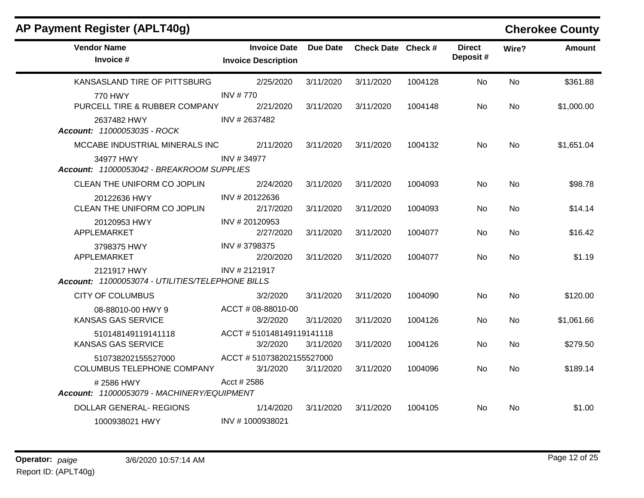| AP Payment Register (APLT40g)                                   |                                                   |           |                    |         |                           |           | <b>Cherokee County</b> |
|-----------------------------------------------------------------|---------------------------------------------------|-----------|--------------------|---------|---------------------------|-----------|------------------------|
| <b>Vendor Name</b><br>Invoice #                                 | <b>Invoice Date</b><br><b>Invoice Description</b> | Due Date  | Check Date Check # |         | <b>Direct</b><br>Deposit# | Wire?     | <b>Amount</b>          |
| KANSASLAND TIRE OF PITTSBURG                                    | 2/25/2020                                         | 3/11/2020 | 3/11/2020          | 1004128 | <b>No</b>                 | <b>No</b> | \$361.88               |
| 770 HWY<br>PURCELL TIRE & RUBBER COMPANY                        | <b>INV #770</b><br>2/21/2020                      | 3/11/2020 | 3/11/2020          | 1004148 | No.                       | No.       | \$1,000.00             |
| 2637482 HWY<br>Account: 11000053035 - ROCK                      | INV #2637482                                      |           |                    |         |                           |           |                        |
| MCCABE INDUSTRIAL MINERALS INC                                  | 2/11/2020                                         | 3/11/2020 | 3/11/2020          | 1004132 | No.                       | No        | \$1,651.04             |
| 34977 HWY<br>Account: 11000053042 - BREAKROOM SUPPLIES          | INV #34977                                        |           |                    |         |                           |           |                        |
| CLEAN THE UNIFORM CO JOPLIN                                     | 2/24/2020                                         | 3/11/2020 | 3/11/2020          | 1004093 | No.                       | <b>No</b> | \$98.78                |
| 20122636 HWY<br>CLEAN THE UNIFORM CO JOPLIN                     | INV # 20122636<br>2/17/2020                       | 3/11/2020 | 3/11/2020          | 1004093 | No                        | <b>No</b> | \$14.14                |
| 20120953 HWY<br>APPLEMARKET                                     | INV #20120953<br>2/27/2020                        | 3/11/2020 | 3/11/2020          | 1004077 | No.                       | <b>No</b> | \$16.42                |
| 3798375 HWY<br>APPLEMARKET                                      | INV #3798375<br>2/20/2020                         | 3/11/2020 | 3/11/2020          | 1004077 | No.                       | No.       | \$1.19                 |
| 2121917 HWY<br>Account: 11000053074 - UTILITIES/TELEPHONE BILLS | INV # 2121917                                     |           |                    |         |                           |           |                        |
| <b>CITY OF COLUMBUS</b>                                         | 3/2/2020                                          | 3/11/2020 | 3/11/2020          | 1004090 | No                        | <b>No</b> | \$120.00               |
| 08-88010-00 HWY 9<br><b>KANSAS GAS SERVICE</b>                  | ACCT # 08-88010-00<br>3/2/2020                    | 3/11/2020 | 3/11/2020          | 1004126 | No.                       | No.       | \$1,061.66             |
| 510148149119141118<br><b>KANSAS GAS SERVICE</b>                 | ACCT #510148149119141118<br>3/2/2020              | 3/11/2020 | 3/11/2020          | 1004126 | No.                       | No.       | \$279.50               |
| 510738202155527000<br>COLUMBUS TELEPHONE COMPANY                | ACCT #510738202155527000<br>3/1/2020              | 3/11/2020 | 3/11/2020          | 1004096 | No                        | <b>No</b> | \$189.14               |
| #2586 HWY<br>Account: 11000053079 - MACHINERY/EQUIPMENT         | Acct # 2586                                       |           |                    |         |                           |           |                        |
| <b>DOLLAR GENERAL- REGIONS</b>                                  | 1/14/2020                                         | 3/11/2020 | 3/11/2020          | 1004105 | No.                       | No.       | \$1.00                 |
| 1000938021 HWY                                                  | INV #1000938021                                   |           |                    |         |                           |           |                        |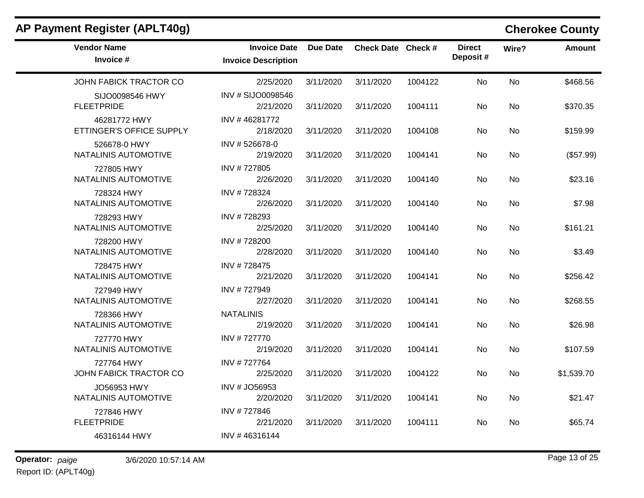| AP Payment Register (APLT40g)              |                                                   |           |                    |         |                           |       | <b>Cherokee County</b> |
|--------------------------------------------|---------------------------------------------------|-----------|--------------------|---------|---------------------------|-------|------------------------|
| <b>Vendor Name</b><br>Invoice #            | <b>Invoice Date</b><br><b>Invoice Description</b> | Due Date  | Check Date Check # |         | <b>Direct</b><br>Deposit# | Wire? | <b>Amount</b>          |
| JOHN FABICK TRACTOR CO                     | 2/25/2020                                         | 3/11/2020 | 3/11/2020          | 1004122 | No                        | No    | \$468.56               |
| SIJO0098546 HWY<br><b>FLEETPRIDE</b>       | INV # SIJO0098546<br>2/21/2020                    | 3/11/2020 | 3/11/2020          | 1004111 | No                        | No    | \$370.35               |
| 46281772 HWY<br>ETTINGER'S OFFICE SUPPLY   | INV #46281772<br>2/18/2020                        | 3/11/2020 | 3/11/2020          | 1004108 | <b>No</b>                 | No.   | \$159.99               |
| 526678-0 HWY<br>NATALINIS AUTOMOTIVE       | INV #526678-0<br>2/19/2020                        | 3/11/2020 | 3/11/2020          | 1004141 | No                        | No.   | (\$57.99)              |
| 727805 HWY<br>NATALINIS AUTOMOTIVE         | INV #727805<br>2/26/2020                          | 3/11/2020 | 3/11/2020          | 1004140 | No                        | No    | \$23.16                |
| 728324 HWY<br>NATALINIS AUTOMOTIVE         | INV #728324<br>2/26/2020                          | 3/11/2020 | 3/11/2020          | 1004140 | No                        | No    | \$7.98                 |
| 728293 HWY<br>NATALINIS AUTOMOTIVE         | INV #728293<br>2/25/2020                          | 3/11/2020 | 3/11/2020          | 1004140 | No                        | No    | \$161.21               |
| 728200 HWY<br>NATALINIS AUTOMOTIVE         | INV #728200<br>2/28/2020                          | 3/11/2020 | 3/11/2020          | 1004140 | No                        | No    | \$3.49                 |
| 728475 HWY<br>NATALINIS AUTOMOTIVE         | INV #728475<br>2/21/2020                          | 3/11/2020 | 3/11/2020          | 1004141 | <b>No</b>                 | No.   | \$256.42               |
| 727949 HWY<br>NATALINIS AUTOMOTIVE         | INV #727949<br>2/27/2020                          | 3/11/2020 | 3/11/2020          | 1004141 | No                        | No    | \$268.55               |
| 728366 HWY<br>NATALINIS AUTOMOTIVE         | <b>NATALINIS</b><br>2/19/2020                     | 3/11/2020 | 3/11/2020          | 1004141 | No                        | No    | \$26.98                |
| 727770 HWY<br>NATALINIS AUTOMOTIVE         | INV #727770<br>2/19/2020                          | 3/11/2020 | 3/11/2020          | 1004141 | No                        | No    | \$107.59               |
| 727764 HWY<br>JOHN FABICK TRACTOR CO       | INV #727764<br>2/25/2020                          | 3/11/2020 | 3/11/2020          | 1004122 | No                        | No.   | \$1,539.70             |
| <b>JO56953 HWY</b><br>NATALINIS AUTOMOTIVE | INV # JO56953<br>2/20/2020                        | 3/11/2020 | 3/11/2020          | 1004141 | No                        | No.   | \$21.47                |
| 727846 HWY<br><b>FLEETPRIDE</b>            | INV #727846<br>2/21/2020                          | 3/11/2020 | 3/11/2020          | 1004111 | No.                       | No    | \$65.74                |
| 46316144 HWY                               | INV #46316144                                     |           |                    |         |                           |       |                        |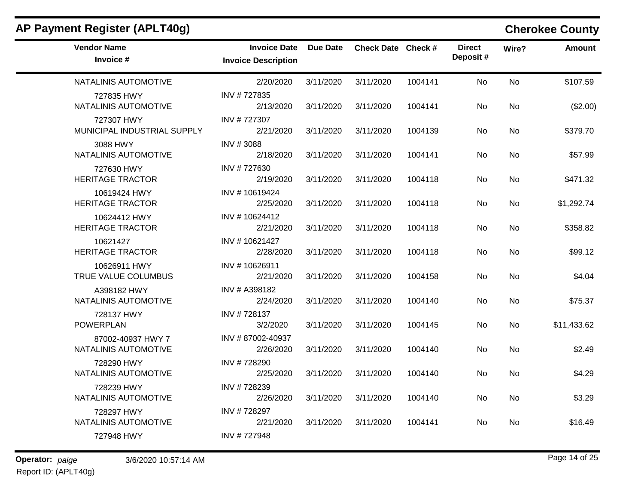| <b>Vendor Name</b><br>Invoice #           | <b>Invoice Date</b><br><b>Invoice Description</b> | Due Date  | Check Date Check # |         | <b>Direct</b><br>Deposit# | Wire?     | <b>Amount</b> |
|-------------------------------------------|---------------------------------------------------|-----------|--------------------|---------|---------------------------|-----------|---------------|
| NATALINIS AUTOMOTIVE                      | 2/20/2020                                         | 3/11/2020 | 3/11/2020          | 1004141 | No                        | <b>No</b> | \$107.59      |
| 727835 HWY<br>NATALINIS AUTOMOTIVE        | INV #727835<br>2/13/2020                          | 3/11/2020 | 3/11/2020          | 1004141 | No.                       | No.       | (\$2.00)      |
| 727307 HWY<br>MUNICIPAL INDUSTRIAL SUPPLY | INV #727307<br>2/21/2020                          | 3/11/2020 | 3/11/2020          | 1004139 | No.                       | No.       | \$379.70      |
| 3088 HWY<br>NATALINIS AUTOMOTIVE          | INV #3088<br>2/18/2020                            | 3/11/2020 | 3/11/2020          | 1004141 | No.                       | <b>No</b> | \$57.99       |
| 727630 HWY<br><b>HERITAGE TRACTOR</b>     | INV #727630<br>2/19/2020                          | 3/11/2020 | 3/11/2020          | 1004118 | No                        | No        | \$471.32      |
| 10619424 HWY<br><b>HERITAGE TRACTOR</b>   | INV #10619424<br>2/25/2020                        | 3/11/2020 | 3/11/2020          | 1004118 | No.                       | <b>No</b> | \$1,292.74    |
| 10624412 HWY<br><b>HERITAGE TRACTOR</b>   | INV #10624412<br>2/21/2020                        | 3/11/2020 | 3/11/2020          | 1004118 | No.                       | No.       | \$358.82      |
| 10621427<br><b>HERITAGE TRACTOR</b>       | INV #10621427<br>2/28/2020                        | 3/11/2020 | 3/11/2020          | 1004118 | No                        | No        | \$99.12       |
| 10626911 HWY<br>TRUE VALUE COLUMBUS       | INV #10626911<br>2/21/2020                        | 3/11/2020 | 3/11/2020          | 1004158 | No                        | No        | \$4.04        |
| A398182 HWY<br>NATALINIS AUTOMOTIVE       | INV # A398182<br>2/24/2020                        | 3/11/2020 | 3/11/2020          | 1004140 | No                        | <b>No</b> | \$75.37       |
| 728137 HWY<br><b>POWERPLAN</b>            | INV #728137<br>3/2/2020                           | 3/11/2020 | 3/11/2020          | 1004145 | No.                       | <b>No</b> | \$11,433.62   |
| 87002-40937 HWY 7<br>NATALINIS AUTOMOTIVE | INV #87002-40937<br>2/26/2020                     | 3/11/2020 | 3/11/2020          | 1004140 | No.                       | No.       | \$2.49        |
| 728290 HWY<br>NATALINIS AUTOMOTIVE        | INV #728290<br>2/25/2020                          | 3/11/2020 | 3/11/2020          | 1004140 | No                        | No.       | \$4.29        |
| 728239 HWY<br>NATALINIS AUTOMOTIVE        | INV #728239<br>2/26/2020                          | 3/11/2020 | 3/11/2020          | 1004140 | No                        | No        | \$3.29        |
| 728297 HWY<br>NATALINIS AUTOMOTIVE        | INV #728297<br>2/21/2020                          | 3/11/2020 | 3/11/2020          | 1004141 | No.                       | No.       | \$16.49       |
| 727948 HWY                                | INV #727948                                       |           |                    |         |                           |           |               |

# **AP Payment Register (APLT40g) Cherokee County**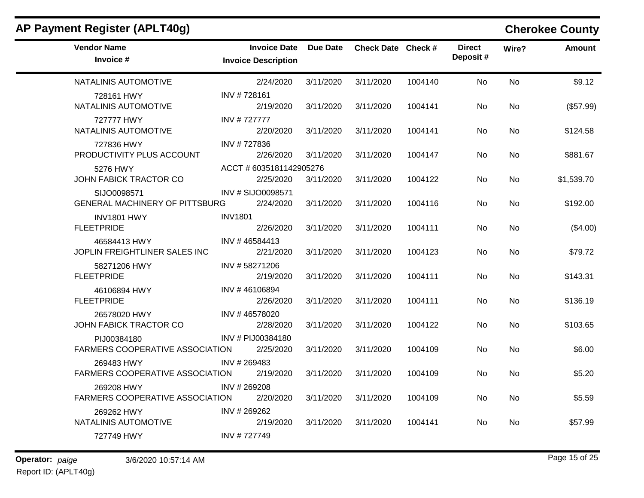| <b>Vendor Name</b><br>Invoice #                       | <b>Invoice Date</b><br><b>Invoice Description</b> | Due Date  | Check Date Check # |         | <b>Direct</b><br>Deposit# | Wire?     | <b>Amount</b> |
|-------------------------------------------------------|---------------------------------------------------|-----------|--------------------|---------|---------------------------|-----------|---------------|
| NATALINIS AUTOMOTIVE                                  | 2/24/2020                                         | 3/11/2020 | 3/11/2020          | 1004140 | No.                       | <b>No</b> | \$9.12        |
| 728161 HWY<br>NATALINIS AUTOMOTIVE                    | INV #728161<br>2/19/2020                          | 3/11/2020 | 3/11/2020          | 1004141 | No                        | No        | (\$57.99)     |
| 727777 HWY<br>NATALINIS AUTOMOTIVE                    | INV #727777<br>2/20/2020                          | 3/11/2020 | 3/11/2020          | 1004141 | No.                       | No.       | \$124.58      |
| 727836 HWY<br>PRODUCTIVITY PLUS ACCOUNT               | INV #727836<br>2/26/2020                          | 3/11/2020 | 3/11/2020          | 1004147 | No.                       | No.       | \$881.67      |
| 5276 HWY<br>JOHN FABICK TRACTOR CO                    | ACCT # 6035181142905276<br>2/25/2020              | 3/11/2020 | 3/11/2020          | 1004122 | No                        | No        | \$1,539.70    |
| SIJO0098571<br><b>GENERAL MACHINERY OF PITTSBURG</b>  | INV # SIJO0098571<br>2/24/2020                    | 3/11/2020 | 3/11/2020          | 1004116 | No                        | <b>No</b> | \$192.00      |
| INV1801 HWY<br><b>FLEETPRIDE</b>                      | <b>INV1801</b><br>2/26/2020                       | 3/11/2020 | 3/11/2020          | 1004111 | No.                       | <b>No</b> | (\$4.00)      |
| 46584413 HWY<br>JOPLIN FREIGHTLINER SALES INC         | INV #46584413<br>2/21/2020                        | 3/11/2020 | 3/11/2020          | 1004123 | No.                       | <b>No</b> | \$79.72       |
| 58271206 HWY<br><b>FLEETPRIDE</b>                     | INV #58271206<br>2/19/2020                        | 3/11/2020 | 3/11/2020          | 1004111 | No.                       | <b>No</b> | \$143.31      |
| 46106894 HWY<br><b>FLEETPRIDE</b>                     | INV #46106894<br>2/26/2020                        | 3/11/2020 | 3/11/2020          | 1004111 | No.                       | <b>No</b> | \$136.19      |
| 26578020 HWY<br>JOHN FABICK TRACTOR CO                | INV #46578020<br>2/28/2020                        | 3/11/2020 | 3/11/2020          | 1004122 | No.                       | <b>No</b> | \$103.65      |
| PIJ00384180<br><b>FARMERS COOPERATIVE ASSOCIATION</b> | INV # PIJ00384180<br>2/25/2020                    | 3/11/2020 | 3/11/2020          | 1004109 | No.                       | <b>No</b> | \$6.00        |
| 269483 HWY<br><b>FARMERS COOPERATIVE ASSOCIATION</b>  | INV # 269483<br>2/19/2020                         | 3/11/2020 | 3/11/2020          | 1004109 | No.                       | <b>No</b> | \$5.20        |
| 269208 HWY<br>FARMERS COOPERATIVE ASSOCIATION         | INV #269208<br>2/20/2020                          | 3/11/2020 | 3/11/2020          | 1004109 | <b>No</b>                 | <b>No</b> | \$5.59        |
| 269262 HWY<br>NATALINIS AUTOMOTIVE                    | INV # 269262<br>2/19/2020                         | 3/11/2020 | 3/11/2020          | 1004141 | No.                       | No.       | \$57.99       |
| 727749 HWY                                            | INV #727749                                       |           |                    |         |                           |           |               |

# **AP Payment Register (APLT40g) Cherokee County**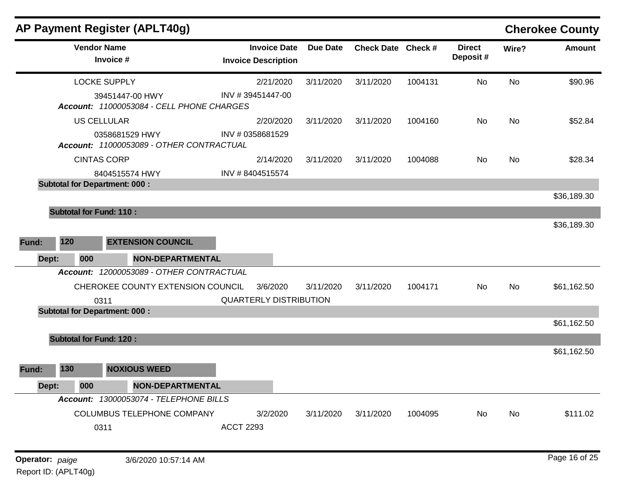|                       |                                      | AP Payment Register (APLT40g)                                |                                                   |                 |                    |         |                           |       | <b>Cherokee County</b> |
|-----------------------|--------------------------------------|--------------------------------------------------------------|---------------------------------------------------|-----------------|--------------------|---------|---------------------------|-------|------------------------|
|                       | <b>Vendor Name</b><br>Invoice #      |                                                              | <b>Invoice Date</b><br><b>Invoice Description</b> | <b>Due Date</b> | Check Date Check # |         | <b>Direct</b><br>Deposit# | Wire? | <b>Amount</b>          |
|                       | <b>LOCKE SUPPLY</b>                  |                                                              | 2/21/2020                                         | 3/11/2020       | 3/11/2020          | 1004131 | No                        | No    | \$90.96                |
|                       |                                      | 39451447-00 HWY<br>Account: 11000053084 - CELL PHONE CHARGES | INV #39451447-00                                  |                 |                    |         |                           |       |                        |
|                       | <b>US CELLULAR</b>                   |                                                              | 2/20/2020                                         | 3/11/2020       | 3/11/2020          | 1004160 | No                        | No    | \$52.84                |
|                       |                                      | 0358681529 HWY<br>Account: 11000053089 - OTHER CONTRACTUAL   | INV # 0358681529                                  |                 |                    |         |                           |       |                        |
|                       | <b>CINTAS CORP</b>                   |                                                              | 2/14/2020                                         | 3/11/2020       | 3/11/2020          | 1004088 | No.                       | No.   | \$28.34                |
|                       |                                      | 8404515574 HWY                                               | INV #8404515574                                   |                 |                    |         |                           |       |                        |
|                       | <b>Subtotal for Department: 000:</b> |                                                              |                                                   |                 |                    |         |                           |       |                        |
|                       |                                      |                                                              |                                                   |                 |                    |         |                           |       | \$36,189.30            |
|                       | <b>Subtotal for Fund: 110:</b>       |                                                              |                                                   |                 |                    |         |                           |       |                        |
| 120<br>Fund:<br>Dept: | 000                                  | <b>EXTENSION COUNCIL</b><br><b>NON-DEPARTMENTAL</b>          |                                                   |                 |                    |         |                           |       | \$36,189.30            |
|                       |                                      | Account: 12000053089 - OTHER CONTRACTUAL                     |                                                   |                 |                    |         |                           |       |                        |
|                       |                                      | CHEROKEE COUNTY EXTENSION COUNCIL                            | 3/6/2020                                          | 3/11/2020       | 3/11/2020          | 1004171 | <b>No</b>                 | No    | \$61,162.50            |
|                       | 0311                                 |                                                              | <b>QUARTERLY DISTRIBUTION</b>                     |                 |                    |         |                           |       |                        |
|                       | <b>Subtotal for Department: 000:</b> |                                                              |                                                   |                 |                    |         |                           |       |                        |
|                       |                                      |                                                              |                                                   |                 |                    |         |                           |       | \$61,162.50            |
|                       | <b>Subtotal for Fund: 120:</b>       |                                                              |                                                   |                 |                    |         |                           |       |                        |
|                       |                                      |                                                              |                                                   |                 |                    |         |                           |       | \$61,162.50            |
| 130<br>Fund:          |                                      | <b>NOXIOUS WEED</b>                                          |                                                   |                 |                    |         |                           |       |                        |
| Dept:                 | 000                                  | <b>NON-DEPARTMENTAL</b>                                      |                                                   |                 |                    |         |                           |       |                        |
|                       |                                      | Account: 13000053074 - TELEPHONE BILLS                       |                                                   |                 |                    |         |                           |       |                        |
|                       |                                      | <b>COLUMBUS TELEPHONE COMPANY</b>                            | 3/2/2020                                          | 3/11/2020       | 3/11/2020          | 1004095 | No                        | No    | \$111.02               |
|                       | 0311                                 |                                                              | <b>ACCT 2293</b>                                  |                 |                    |         |                           |       |                        |
|                       |                                      |                                                              |                                                   |                 |                    |         |                           |       |                        |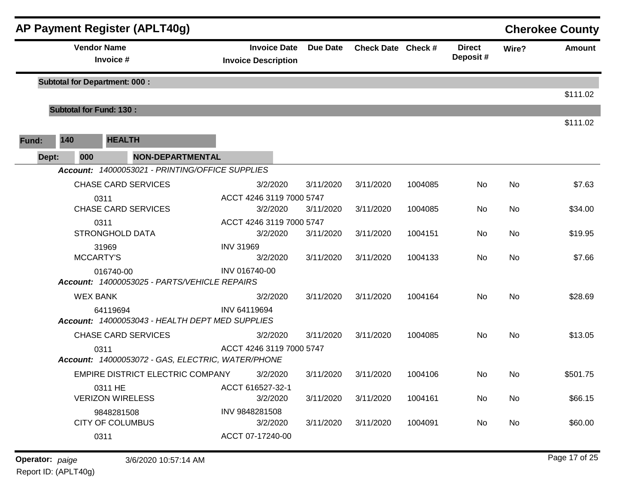|       |       |                    | AP Payment Register (APLT40g)                                              |                                                   |                 |                    |         |                           |           | <b>Cherokee County</b> |
|-------|-------|--------------------|----------------------------------------------------------------------------|---------------------------------------------------|-----------------|--------------------|---------|---------------------------|-----------|------------------------|
|       |       | <b>Vendor Name</b> | Invoice #                                                                  | <b>Invoice Date</b><br><b>Invoice Description</b> | <b>Due Date</b> | Check Date Check # |         | <b>Direct</b><br>Deposit# | Wire?     | <b>Amount</b>          |
|       |       |                    | <b>Subtotal for Department: 000:</b>                                       |                                                   |                 |                    |         |                           |           | \$111.02               |
|       |       |                    | <b>Subtotal for Fund: 130:</b>                                             |                                                   |                 |                    |         |                           |           |                        |
|       | 140   |                    | <b>HEALTH</b>                                                              |                                                   |                 |                    |         |                           |           | \$111.02               |
| Fund: |       |                    |                                                                            |                                                   |                 |                    |         |                           |           |                        |
|       | Dept: | 000                | <b>NON-DEPARTMENTAL</b><br>Account: 14000053021 - PRINTING/OFFICE SUPPLIES |                                                   |                 |                    |         |                           |           |                        |
|       |       |                    | <b>CHASE CARD SERVICES</b>                                                 | 3/2/2020                                          | 3/11/2020       | 3/11/2020          | 1004085 | No                        | No        | \$7.63                 |
|       |       | 0311               |                                                                            | ACCT 4246 3119 7000 5747                          |                 |                    |         |                           |           |                        |
|       |       |                    | <b>CHASE CARD SERVICES</b>                                                 | 3/2/2020                                          | 3/11/2020       | 3/11/2020          | 1004085 | No                        | <b>No</b> | \$34.00                |
|       |       | 0311               |                                                                            | ACCT 4246 3119 7000 5747                          |                 |                    |         |                           |           |                        |
|       |       |                    | <b>STRONGHOLD DATA</b>                                                     | 3/2/2020                                          | 3/11/2020       | 3/11/2020          | 1004151 | No                        | No        | \$19.95                |
|       |       | 31969              |                                                                            | <b>INV 31969</b>                                  |                 |                    |         |                           |           |                        |
|       |       | <b>MCCARTY'S</b>   |                                                                            | 3/2/2020                                          | 3/11/2020       | 3/11/2020          | 1004133 | No                        | No        | \$7.66                 |
|       |       |                    | 016740-00<br>Account: 14000053025 - PARTS/VEHICLE REPAIRS                  | INV 016740-00                                     |                 |                    |         |                           |           |                        |
|       |       | <b>WEX BANK</b>    |                                                                            | 3/2/2020                                          | 3/11/2020       | 3/11/2020          | 1004164 | No                        | <b>No</b> | \$28.69                |
|       |       |                    | 64119694                                                                   | INV 64119694                                      |                 |                    |         |                           |           |                        |
|       |       |                    | Account: 14000053043 - HEALTH DEPT MED SUPPLIES                            |                                                   |                 |                    |         |                           |           |                        |
|       |       |                    | <b>CHASE CARD SERVICES</b>                                                 | 3/2/2020                                          | 3/11/2020       | 3/11/2020          | 1004085 | No                        | No        | \$13.05                |
|       |       | 0311               |                                                                            | ACCT 4246 3119 7000 5747                          |                 |                    |         |                           |           |                        |
|       |       |                    | Account: 14000053072 - GAS, ELECTRIC, WATER/PHONE                          |                                                   |                 |                    |         |                           |           |                        |
|       |       |                    | EMPIRE DISTRICT ELECTRIC COMPANY                                           | 3/2/2020                                          | 3/11/2020       | 3/11/2020          | 1004106 | No                        | No        | \$501.75               |
|       |       |                    | 0311 HE                                                                    | ACCT 616527-32-1                                  |                 |                    |         |                           |           |                        |
|       |       |                    | <b>VERIZON WIRELESS</b>                                                    | 3/2/2020                                          | 3/11/2020       | 3/11/2020          | 1004161 | No                        | No        | \$66.15                |
|       |       |                    | 9848281508                                                                 | INV 9848281508                                    |                 |                    |         |                           |           |                        |
|       |       |                    | <b>CITY OF COLUMBUS</b>                                                    | 3/2/2020<br>ACCT 07-17240-00                      | 3/11/2020       | 3/11/2020          | 1004091 | No                        | No        | \$60.00                |
|       |       | 0311               |                                                                            |                                                   |                 |                    |         |                           |           |                        |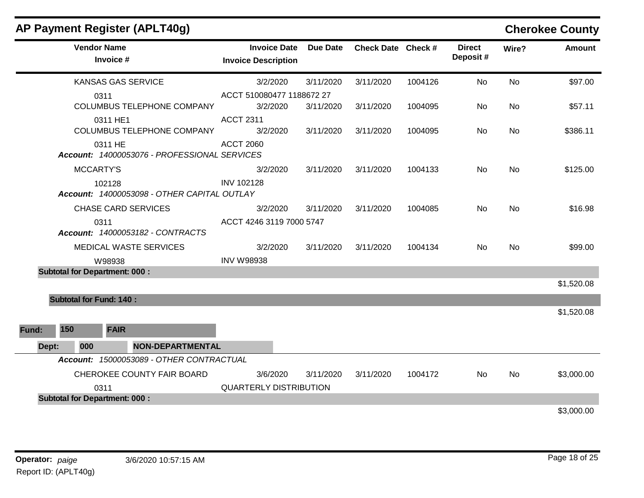|              | AP Payment Register (APLT40g)                           |                                                   |                 |                    |         |                           |           | <b>Cherokee County</b> |
|--------------|---------------------------------------------------------|---------------------------------------------------|-----------------|--------------------|---------|---------------------------|-----------|------------------------|
|              | <b>Vendor Name</b><br>Invoice #                         | <b>Invoice Date</b><br><b>Invoice Description</b> | <b>Due Date</b> | Check Date Check # |         | <b>Direct</b><br>Deposit# | Wire?     | <b>Amount</b>          |
|              | <b>KANSAS GAS SERVICE</b>                               | 3/2/2020                                          | 3/11/2020       | 3/11/2020          | 1004126 | No                        | <b>No</b> | \$97.00                |
|              | 0311<br>COLUMBUS TELEPHONE COMPANY                      | ACCT 510080477 1188672 27<br>3/2/2020             | 3/11/2020       | 3/11/2020          | 1004095 | No.                       | No        | \$57.11                |
|              | 0311 HE1<br>COLUMBUS TELEPHONE COMPANY                  | <b>ACCT 2311</b><br>3/2/2020                      | 3/11/2020       | 3/11/2020          | 1004095 | No                        | <b>No</b> | \$386.11               |
|              | 0311 HE<br>Account: 14000053076 - PROFESSIONAL SERVICES | <b>ACCT 2060</b>                                  |                 |                    |         |                           |           |                        |
|              | <b>MCCARTY'S</b>                                        | 3/2/2020                                          | 3/11/2020       | 3/11/2020          | 1004133 | No                        | <b>No</b> | \$125.00               |
|              | 102128<br>Account: 14000053098 - OTHER CAPITAL OUTLAY   | <b>INV 102128</b>                                 |                 |                    |         |                           |           |                        |
|              | <b>CHASE CARD SERVICES</b>                              | 3/2/2020                                          | 3/11/2020       | 3/11/2020          | 1004085 | No                        | No        | \$16.98                |
|              | 0311<br>Account: 14000053182 - CONTRACTS                | ACCT 4246 3119 7000 5747                          |                 |                    |         |                           |           |                        |
|              | MEDICAL WASTE SERVICES                                  | 3/2/2020                                          | 3/11/2020       | 3/11/2020          | 1004134 | No                        | <b>No</b> | \$99.00                |
|              | W98938                                                  | <b>INV W98938</b>                                 |                 |                    |         |                           |           |                        |
|              | <b>Subtotal for Department: 000:</b>                    |                                                   |                 |                    |         |                           |           | \$1,520.08             |
|              | <b>Subtotal for Fund: 140:</b>                          |                                                   |                 |                    |         |                           |           |                        |
|              |                                                         |                                                   |                 |                    |         |                           |           | \$1,520.08             |
| 150<br>Fund: | <b>FAIR</b>                                             |                                                   |                 |                    |         |                           |           |                        |
| Dept:        | 000<br><b>NON-DEPARTMENTAL</b>                          |                                                   |                 |                    |         |                           |           |                        |
|              | Account: 15000053089 - OTHER CONTRACTUAL                |                                                   |                 |                    |         |                           |           |                        |
|              | CHEROKEE COUNTY FAIR BOARD                              | 3/6/2020                                          | 3/11/2020       | 3/11/2020          | 1004172 | No                        | No        | \$3,000.00             |
|              | 0311                                                    | <b>QUARTERLY DISTRIBUTION</b>                     |                 |                    |         |                           |           |                        |
|              | <b>Subtotal for Department: 000:</b>                    |                                                   |                 |                    |         |                           |           |                        |
|              |                                                         |                                                   |                 |                    |         |                           |           | \$3,000.00             |

### **Operator:** paige 3/6/2020 10:57:15 AM Report ID: (APLT40g)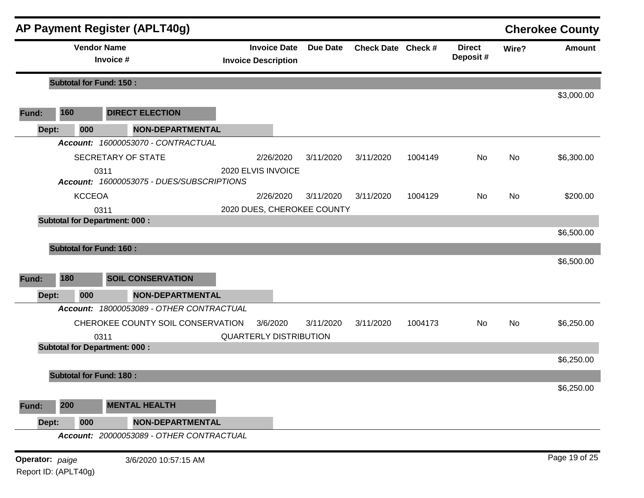|                 |                                | <b>AP Payment Register (APLT40g)</b>      |                               |                     |                 |                    |         |                           |       | <b>Cherokee County</b> |
|-----------------|--------------------------------|-------------------------------------------|-------------------------------|---------------------|-----------------|--------------------|---------|---------------------------|-------|------------------------|
|                 |                                | <b>Vendor Name</b><br>Invoice #           | <b>Invoice Description</b>    | <b>Invoice Date</b> | <b>Due Date</b> | Check Date Check # |         | <b>Direct</b><br>Deposit# | Wire? | <b>Amount</b>          |
|                 | <b>Subtotal for Fund: 150:</b> |                                           |                               |                     |                 |                    |         |                           |       |                        |
|                 |                                |                                           |                               |                     |                 |                    |         |                           |       | \$3,000.00             |
| Fund:           | 160                            | <b>DIRECT ELECTION</b>                    |                               |                     |                 |                    |         |                           |       |                        |
| Dept:           | 000                            | <b>NON-DEPARTMENTAL</b>                   |                               |                     |                 |                    |         |                           |       |                        |
|                 |                                | Account: 16000053070 - CONTRACTUAL        |                               |                     |                 |                    |         |                           |       |                        |
|                 |                                | SECRETARY OF STATE                        |                               | 2/26/2020           | 3/11/2020       | 3/11/2020          | 1004149 | No                        | No    | \$6,300.00             |
|                 |                                | 0311                                      | 2020 ELVIS INVOICE            |                     |                 |                    |         |                           |       |                        |
|                 |                                | Account: 16000053075 - DUES/SUBSCRIPTIONS |                               |                     |                 |                    |         |                           |       |                        |
|                 | <b>KCCEOA</b>                  |                                           |                               | 2/26/2020           | 3/11/2020       | 3/11/2020          | 1004129 | No                        | No    | \$200.00               |
|                 |                                | 0311                                      | 2020 DUES, CHEROKEE COUNTY    |                     |                 |                    |         |                           |       |                        |
|                 |                                | <b>Subtotal for Department: 000:</b>      |                               |                     |                 |                    |         |                           |       |                        |
|                 |                                |                                           |                               |                     |                 |                    |         |                           |       | \$6,500.00             |
|                 | <b>Subtotal for Fund: 160:</b> |                                           |                               |                     |                 |                    |         |                           |       |                        |
|                 |                                |                                           |                               |                     |                 |                    |         |                           |       | \$6,500.00             |
| Fund:           | 180                            | <b>SOIL CONSERVATION</b>                  |                               |                     |                 |                    |         |                           |       |                        |
| Dept:           | 000                            | <b>NON-DEPARTMENTAL</b>                   |                               |                     |                 |                    |         |                           |       |                        |
|                 |                                | Account: 18000053089 - OTHER CONTRACTUAL  |                               |                     |                 |                    |         |                           |       |                        |
|                 |                                | CHEROKEE COUNTY SOIL CONSERVATION         |                               | 3/6/2020            | 3/11/2020       | 3/11/2020          | 1004173 | No                        | No    | \$6,250.00             |
|                 |                                | 0311                                      | <b>QUARTERLY DISTRIBUTION</b> |                     |                 |                    |         |                           |       |                        |
|                 |                                | <b>Subtotal for Department: 000:</b>      |                               |                     |                 |                    |         |                           |       |                        |
|                 |                                |                                           |                               |                     |                 |                    |         |                           |       | \$6,250.00             |
|                 | <b>Subtotal for Fund: 180:</b> |                                           |                               |                     |                 |                    |         |                           |       |                        |
|                 |                                |                                           |                               |                     |                 |                    |         |                           |       | \$6,250.00             |
| Fund:           | 200                            | <b>MENTAL HEALTH</b>                      |                               |                     |                 |                    |         |                           |       |                        |
| Dept:           | 000                            | <b>NON-DEPARTMENTAL</b>                   |                               |                     |                 |                    |         |                           |       |                        |
|                 |                                | Account: 20000053089 - OTHER CONTRACTUAL  |                               |                     |                 |                    |         |                           |       |                        |
| Operator: paige |                                | 3/6/2020 10:57:15 AM                      |                               |                     |                 |                    |         |                           |       | Page 19 of 25          |
|                 | Report ID: (APLT40g)           |                                           |                               |                     |                 |                    |         |                           |       |                        |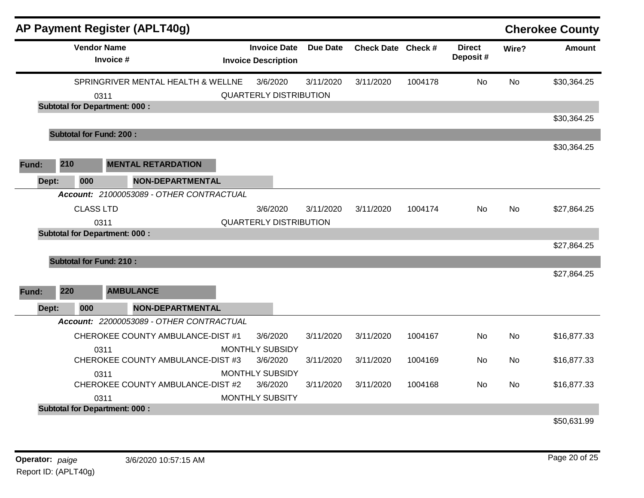|       |     | <b>AP Payment Register (APLT40g)</b>     |                                                   |                 |                    |         |                           |       | <b>Cherokee County</b> |
|-------|-----|------------------------------------------|---------------------------------------------------|-----------------|--------------------|---------|---------------------------|-------|------------------------|
|       |     | <b>Vendor Name</b><br>Invoice #          | <b>Invoice Date</b><br><b>Invoice Description</b> | <b>Due Date</b> | Check Date Check # |         | <b>Direct</b><br>Deposit# | Wire? | <b>Amount</b>          |
|       |     | SPRINGRIVER MENTAL HEALTH & WELLNE       | 3/6/2020                                          | 3/11/2020       | 3/11/2020          | 1004178 | <b>No</b>                 | No    | \$30,364.25            |
|       |     | 0311                                     | <b>QUARTERLY DISTRIBUTION</b>                     |                 |                    |         |                           |       |                        |
|       |     | <b>Subtotal for Department: 000:</b>     |                                                   |                 |                    |         |                           |       |                        |
|       |     |                                          |                                                   |                 |                    |         |                           |       | \$30,364.25            |
|       |     | <b>Subtotal for Fund: 200:</b>           |                                                   |                 |                    |         |                           |       | \$30,364.25            |
|       |     |                                          |                                                   |                 |                    |         |                           |       |                        |
| Fund: | 210 | <b>MENTAL RETARDATION</b>                |                                                   |                 |                    |         |                           |       |                        |
| Dept: | 000 | <b>NON-DEPARTMENTAL</b>                  |                                                   |                 |                    |         |                           |       |                        |
|       |     | Account: 21000053089 - OTHER CONTRACTUAL |                                                   |                 |                    |         |                           |       |                        |
|       |     | <b>CLASS LTD</b>                         | 3/6/2020                                          | 3/11/2020       | 3/11/2020          | 1004174 | No                        | No    | \$27,864.25            |
|       |     | 0311                                     | <b>QUARTERLY DISTRIBUTION</b>                     |                 |                    |         |                           |       |                        |
|       |     | <b>Subtotal for Department: 000:</b>     |                                                   |                 |                    |         |                           |       |                        |
|       |     |                                          |                                                   |                 |                    |         |                           |       | \$27,864.25            |
|       |     | <b>Subtotal for Fund: 210:</b>           |                                                   |                 |                    |         |                           |       |                        |
|       |     |                                          |                                                   |                 |                    |         |                           |       | \$27,864.25            |
| Fund: | 220 | <b>AMBULANCE</b>                         |                                                   |                 |                    |         |                           |       |                        |
| Dept: | 000 | <b>NON-DEPARTMENTAL</b>                  |                                                   |                 |                    |         |                           |       |                        |
|       |     | Account: 22000053089 - OTHER CONTRACTUAL |                                                   |                 |                    |         |                           |       |                        |
|       |     | CHEROKEE COUNTY AMBULANCE-DIST #1        | 3/6/2020                                          | 3/11/2020       | 3/11/2020          | 1004167 | <b>No</b>                 | No    | \$16,877.33            |
|       |     | 0311                                     | <b>MONTHLY SUBSIDY</b>                            |                 |                    |         |                           |       |                        |
|       |     | CHEROKEE COUNTY AMBULANCE-DIST #3        | 3/6/2020                                          | 3/11/2020       | 3/11/2020          | 1004169 | No                        | No    | \$16,877.33            |
|       |     | 0311                                     | <b>MONTHLY SUBSIDY</b>                            |                 |                    |         |                           |       |                        |
|       |     | CHEROKEE COUNTY AMBULANCE-DIST #2        | 3/6/2020                                          | 3/11/2020       | 3/11/2020          | 1004168 | No                        | No    | \$16,877.33            |
|       |     | 0311                                     | <b>MONTHLY SUBSITY</b>                            |                 |                    |         |                           |       |                        |
|       |     | <b>Subtotal for Department: 000:</b>     |                                                   |                 |                    |         |                           |       |                        |
|       |     |                                          |                                                   |                 |                    |         |                           |       | \$50,631.99            |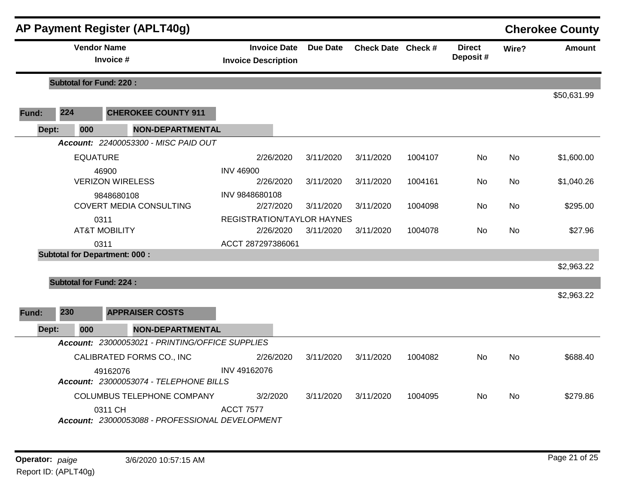|       |                                | <b>AP Payment Register (APLT40g)</b>                       |                                                   |                 |           |                    |                           |       | <b>Cherokee County</b> |
|-------|--------------------------------|------------------------------------------------------------|---------------------------------------------------|-----------------|-----------|--------------------|---------------------------|-------|------------------------|
|       | <b>Vendor Name</b>             | Invoice #                                                  | <b>Invoice Date</b><br><b>Invoice Description</b> | <b>Due Date</b> |           | Check Date Check # | <b>Direct</b><br>Deposit# | Wire? | Amount                 |
|       | <b>Subtotal for Fund: 220:</b> |                                                            |                                                   |                 |           |                    |                           |       |                        |
|       |                                |                                                            |                                                   |                 |           |                    |                           |       | \$50,631.99            |
| Fund: | 224                            | <b>CHEROKEE COUNTY 911</b>                                 |                                                   |                 |           |                    |                           |       |                        |
| Dept: | 000                            | <b>NON-DEPARTMENTAL</b>                                    |                                                   |                 |           |                    |                           |       |                        |
|       |                                | Account: 22400053300 - MISC PAID OUT                       |                                                   |                 |           |                    |                           |       |                        |
|       | <b>EQUATURE</b>                |                                                            | 2/26/2020                                         | 3/11/2020       | 3/11/2020 | 1004107            | <b>No</b>                 | No    | \$1,600.00             |
|       |                                | 46900<br><b>VERIZON WIRELESS</b>                           | <b>INV 46900</b><br>2/26/2020                     | 3/11/2020       | 3/11/2020 | 1004161            | No.                       | No.   | \$1,040.26             |
|       |                                | 9848680108<br><b>COVERT MEDIA CONSULTING</b>               | INV 9848680108<br>2/27/2020                       | 3/11/2020       | 3/11/2020 | 1004098            | No.                       | No    | \$295.00               |
|       |                                | 0311<br><b>AT&amp;T MOBILITY</b>                           | <b>REGISTRATION/TAYLOR HAYNES</b><br>2/26/2020    | 3/11/2020       | 3/11/2020 | 1004078            | No                        | No    | \$27.96                |
|       |                                | 0311                                                       | ACCT 287297386061                                 |                 |           |                    |                           |       |                        |
|       |                                | <b>Subtotal for Department: 000:</b>                       |                                                   |                 |           |                    |                           |       |                        |
|       |                                |                                                            |                                                   |                 |           |                    |                           |       | \$2,963.22             |
|       | <b>Subtotal for Fund: 224:</b> |                                                            |                                                   |                 |           |                    |                           |       |                        |
| Fund: | 230                            | <b>APPRAISER COSTS</b>                                     |                                                   |                 |           |                    |                           |       | \$2,963.22             |
| Dept: | 000                            | <b>NON-DEPARTMENTAL</b>                                    |                                                   |                 |           |                    |                           |       |                        |
|       |                                | Account: 23000053021 - PRINTING/OFFICE SUPPLIES            |                                                   |                 |           |                    |                           |       |                        |
|       |                                | CALIBRATED FORMS CO., INC                                  | 2/26/2020                                         | 3/11/2020       | 3/11/2020 | 1004082            | <b>No</b>                 | No    | \$688.40               |
|       |                                | 49162076<br>Account: 23000053074 - TELEPHONE BILLS         | INV 49162076                                      |                 |           |                    |                           |       |                        |
|       |                                | COLUMBUS TELEPHONE COMPANY                                 | 3/2/2020                                          | 3/11/2020       | 3/11/2020 | 1004095            | No                        | No    | \$279.86               |
|       |                                | 0311 CH<br>Account: 23000053088 - PROFESSIONAL DEVELOPMENT | <b>ACCT 7577</b>                                  |                 |           |                    |                           |       |                        |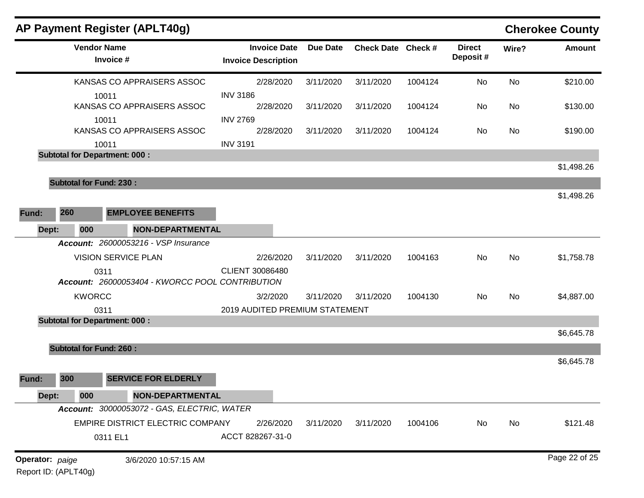|                 |                                | <b>AP Payment Register (APLT40g)</b>                    |                                                   |                 |                    |         |                           |           | <b>Cherokee County</b> |
|-----------------|--------------------------------|---------------------------------------------------------|---------------------------------------------------|-----------------|--------------------|---------|---------------------------|-----------|------------------------|
|                 |                                | <b>Vendor Name</b><br>Invoice #                         | <b>Invoice Date</b><br><b>Invoice Description</b> | <b>Due Date</b> | Check Date Check # |         | <b>Direct</b><br>Deposit# | Wire?     | Amount                 |
|                 |                                | KANSAS CO APPRAISERS ASSOC                              | 2/28/2020                                         | 3/11/2020       | 3/11/2020          | 1004124 | No                        | <b>No</b> | \$210.00               |
|                 |                                | 10011<br>KANSAS CO APPRAISERS ASSOC                     | <b>INV 3186</b><br>2/28/2020                      | 3/11/2020       | 3/11/2020          | 1004124 | No                        | No        | \$130.00               |
|                 |                                | 10011                                                   | <b>INV 2769</b>                                   |                 |                    |         |                           |           |                        |
|                 |                                | KANSAS CO APPRAISERS ASSOC                              | 2/28/2020                                         | 3/11/2020       | 3/11/2020          | 1004124 | No                        | No        | \$190.00               |
|                 |                                | 10011                                                   | <b>INV 3191</b>                                   |                 |                    |         |                           |           |                        |
|                 |                                | <b>Subtotal for Department: 000:</b>                    |                                                   |                 |                    |         |                           |           |                        |
|                 |                                |                                                         |                                                   |                 |                    |         |                           |           | \$1,498.26             |
|                 | <b>Subtotal for Fund: 230:</b> |                                                         |                                                   |                 |                    |         |                           |           |                        |
|                 |                                |                                                         |                                                   |                 |                    |         |                           |           | \$1,498.26             |
| Fund:           | 260                            | <b>EMPLOYEE BENEFITS</b>                                |                                                   |                 |                    |         |                           |           |                        |
| Dept:           | 000                            | <b>NON-DEPARTMENTAL</b>                                 |                                                   |                 |                    |         |                           |           |                        |
|                 |                                | Account: 26000053216 - VSP Insurance                    |                                                   |                 |                    |         |                           |           |                        |
|                 |                                | <b>VISION SERVICE PLAN</b>                              | 2/26/2020                                         | 3/11/2020       | 3/11/2020          | 1004163 | No                        | No        | \$1,758.78             |
|                 |                                | 0311<br>Account: 26000053404 - KWORCC POOL CONTRIBUTION | CLIENT 30086480                                   |                 |                    |         |                           |           |                        |
|                 | <b>KWORCC</b>                  |                                                         | 3/2/2020                                          | 3/11/2020       | 3/11/2020          | 1004130 | No                        | No        | \$4,887.00             |
|                 |                                | 0311                                                    | 2019 AUDITED PREMIUM STATEMENT                    |                 |                    |         |                           |           |                        |
|                 |                                | <b>Subtotal for Department: 000:</b>                    |                                                   |                 |                    |         |                           |           |                        |
|                 |                                |                                                         |                                                   |                 |                    |         |                           |           | \$6,645.78             |
|                 | <b>Subtotal for Fund: 260:</b> |                                                         |                                                   |                 |                    |         |                           |           |                        |
|                 |                                |                                                         |                                                   |                 |                    |         |                           |           | \$6,645.78             |
| Fund:           | 300                            | <b>SERVICE FOR ELDERLY</b>                              |                                                   |                 |                    |         |                           |           |                        |
| Dept:           | 000                            | NON-DEPARTMENTAL                                        |                                                   |                 |                    |         |                           |           |                        |
|                 |                                | Account: 30000053072 - GAS, ELECTRIC, WATER             |                                                   |                 |                    |         |                           |           |                        |
|                 |                                | EMPIRE DISTRICT ELECTRIC COMPANY                        | 2/26/2020                                         | 3/11/2020       | 3/11/2020          | 1004106 | No                        | No        | \$121.48               |
|                 |                                | 0311 EL1                                                | ACCT 828267-31-0                                  |                 |                    |         |                           |           |                        |
| Operator: paige |                                | 3/6/2020 10:57:15 AM                                    |                                                   |                 |                    |         |                           |           | Page 22 of 25          |

Report ID: (APLT40g)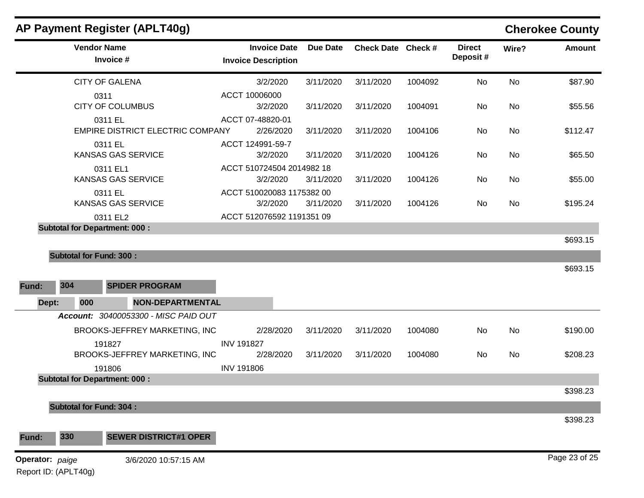|       | <b>Vendor Name</b><br>Invoice #       |                                         | <b>Invoice Date</b><br><b>Invoice Description</b> | <b>Due Date</b> | Check Date Check # |         | <b>Direct</b><br>Deposit# | Wire?     | <b>Amount</b>        |
|-------|---------------------------------------|-----------------------------------------|---------------------------------------------------|-----------------|--------------------|---------|---------------------------|-----------|----------------------|
|       | <b>CITY OF GALENA</b>                 |                                         | 3/2/2020                                          | 3/11/2020       | 3/11/2020          | 1004092 | No                        | <b>No</b> | \$87.90              |
|       | 0311<br><b>CITY OF COLUMBUS</b>       |                                         | ACCT 10006000<br>3/2/2020                         | 3/11/2020       | 3/11/2020          | 1004091 | No                        | <b>No</b> | \$55.56              |
|       | 0311 EL                               | <b>EMPIRE DISTRICT ELECTRIC COMPANY</b> | ACCT 07-48820-01<br>2/26/2020                     | 3/11/2020       | 3/11/2020          | 1004106 | No                        | No        | \$112.47             |
|       | 0311 EL<br>KANSAS GAS SERVICE         |                                         | ACCT 124991-59-7<br>3/2/2020                      | 3/11/2020       | 3/11/2020          | 1004126 | No                        | <b>No</b> | \$65.50              |
|       | 0311 EL1<br>KANSAS GAS SERVICE        |                                         | ACCT 510724504 2014982 18<br>3/2/2020             | 3/11/2020       | 3/11/2020          | 1004126 | No                        | No        | \$55.00              |
|       | 0311 EL<br>KANSAS GAS SERVICE         |                                         | ACCT 510020083 1175382 00<br>3/2/2020             | 3/11/2020       | 3/11/2020          | 1004126 | No                        | <b>No</b> | \$195.24             |
|       | 0311 EL2                              |                                         | ACCT 512076592 1191351 09                         |                 |                    |         |                           |           |                      |
|       | <b>Subtotal for Department: 000:</b>  |                                         |                                                   |                 |                    |         |                           |           | \$693.15             |
| Fund: | <b>Subtotal for Fund: 300:</b><br>304 | <b>SPIDER PROGRAM</b>                   |                                                   |                 |                    |         |                           |           | \$693.15             |
| Dept: | 000                                   | <b>NON-DEPARTMENTAL</b>                 |                                                   |                 |                    |         |                           |           |                      |
|       |                                       | Account: 30400053300 - MISC PAID OUT    |                                                   |                 |                    |         |                           |           |                      |
|       |                                       | BROOKS-JEFFREY MARKETING, INC           | 2/28/2020<br><b>INV 191827</b>                    | 3/11/2020       | 3/11/2020          | 1004080 | No                        | <b>No</b> | \$190.00             |
|       |                                       |                                         |                                                   |                 |                    |         |                           | No        |                      |
|       | 191827                                | BROOKS-JEFFREY MARKETING, INC           | 2/28/2020                                         | 3/11/2020       | 3/11/2020          | 1004080 | No                        |           |                      |
|       | 191806                                |                                         | <b>INV 191806</b>                                 |                 |                    |         |                           |           |                      |
|       | <b>Subtotal for Department: 000:</b>  |                                         |                                                   |                 |                    |         |                           |           |                      |
|       | <b>Subtotal for Fund: 304:</b>        |                                         |                                                   |                 |                    |         |                           |           | \$208.23<br>\$398.23 |
| Fund: | 330                                   | <b>SEWER DISTRICT#1 OPER</b>            |                                                   |                 |                    |         |                           |           | \$398.23             |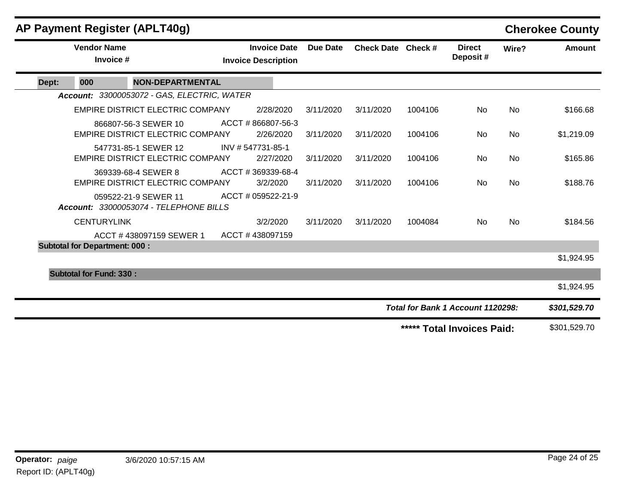|       |                                      | AP Payment Register (APLT40g)                                  |                                                   |                 |                    |         |                                   |           | <b>Cherokee County</b> |
|-------|--------------------------------------|----------------------------------------------------------------|---------------------------------------------------|-----------------|--------------------|---------|-----------------------------------|-----------|------------------------|
|       | <b>Vendor Name</b><br>Invoice #      |                                                                | <b>Invoice Date</b><br><b>Invoice Description</b> | <b>Due Date</b> | Check Date Check # |         | <b>Direct</b><br>Deposit#         | Wire?     | <b>Amount</b>          |
| Dept: | 000                                  | <b>NON-DEPARTMENTAL</b>                                        |                                                   |                 |                    |         |                                   |           |                        |
|       |                                      | Account: 33000053072 - GAS, ELECTRIC, WATER                    |                                                   |                 |                    |         |                                   |           |                        |
|       |                                      | <b>EMPIRE DISTRICT ELECTRIC COMPANY</b>                        | 2/28/2020                                         | 3/11/2020       | 3/11/2020          | 1004106 | No                                | No        | \$166.68               |
|       |                                      | 866807-56-3 SEWER 10<br>EMPIRE DISTRICT ELECTRIC COMPANY       | ACCT #866807-56-3<br>2/26/2020                    | 3/11/2020       | 3/11/2020          | 1004106 | No                                | No        | \$1,219.09             |
|       |                                      | 547731-85-1 SEWER 12<br>EMPIRE DISTRICT ELECTRIC COMPANY       | INV # 547731-85-1<br>2/27/2020                    | 3/11/2020       | 3/11/2020          | 1004106 | No                                | <b>No</b> | \$165.86               |
|       |                                      | 369339-68-4 SEWER 8<br><b>EMPIRE DISTRICT ELECTRIC COMPANY</b> | ACCT #369339-68-4<br>3/2/2020                     | 3/11/2020       | 3/11/2020          | 1004106 | <b>No</b>                         | <b>No</b> | \$188.76               |
|       |                                      | 059522-21-9 SEWER 11<br>Account: 33000053074 - TELEPHONE BILLS | ACCT # 059522-21-9                                |                 |                    |         |                                   |           |                        |
|       | <b>CENTURYLINK</b>                   |                                                                | 3/2/2020                                          | 3/11/2020       | 3/11/2020          | 1004084 | No.                               | No        | \$184.56               |
|       |                                      | ACCT #438097159 SEWER 1                                        | ACCT #438097159                                   |                 |                    |         |                                   |           |                        |
|       | <b>Subtotal for Department: 000:</b> |                                                                |                                                   |                 |                    |         |                                   |           |                        |
|       |                                      |                                                                |                                                   |                 |                    |         |                                   |           | \$1,924.95             |
|       | <b>Subtotal for Fund: 330:</b>       |                                                                |                                                   |                 |                    |         |                                   |           |                        |
|       |                                      |                                                                |                                                   |                 |                    |         |                                   |           | \$1,924.95             |
|       |                                      |                                                                |                                                   |                 |                    |         | Total for Bank 1 Account 1120298: |           | \$301,529.70           |
|       |                                      |                                                                |                                                   |                 |                    |         | ***** Total Invoices Paid:        |           | \$301,529.70           |